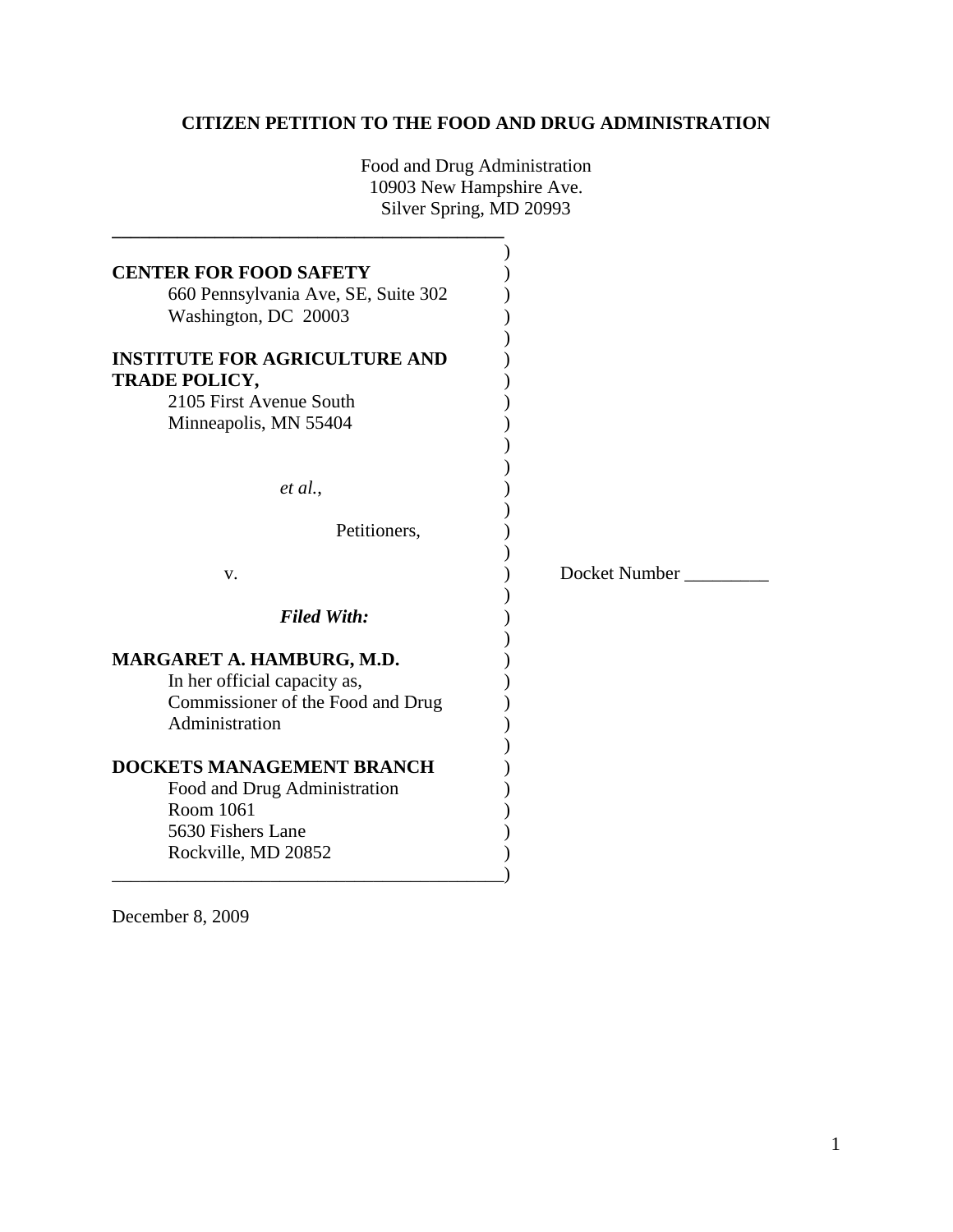# **CITIZEN PETITION TO THE FOOD AND DRUG ADMINISTRATION**

Food and Drug Administration 10903 New Hampshire Ave. Silver Spring, MD 20993

**\_\_\_\_\_\_\_\_\_\_\_\_\_\_\_\_\_\_\_\_\_\_\_\_\_\_\_\_\_\_\_\_\_\_\_\_\_\_\_\_\_\_**

| <b>CENTER FOR FOOD SAFETY</b><br>660 Pennsylvania Ave, SE, Suite 302<br>Washington, DC 20003<br><b>INSTITUTE FOR AGRICULTURE AND</b><br><b>TRADE POLICY,</b><br>2105 First Avenue South<br>Minneapolis, MN 55404 |               |
|------------------------------------------------------------------------------------------------------------------------------------------------------------------------------------------------------------------|---------------|
| et al.,                                                                                                                                                                                                          |               |
| Petitioners,                                                                                                                                                                                                     |               |
| V.                                                                                                                                                                                                               | Docket Number |
| <b>Filed With:</b>                                                                                                                                                                                               |               |
| MARGARET A. HAMBURG, M.D.<br>In her official capacity as,<br>Commissioner of the Food and Drug<br>Administration                                                                                                 |               |
| <b>DOCKETS MANAGEMENT BRANCH</b><br>Food and Drug Administration<br>Room 1061<br>5630 Fishers Lane<br>Rockville, MD 20852                                                                                        |               |

December 8, 2009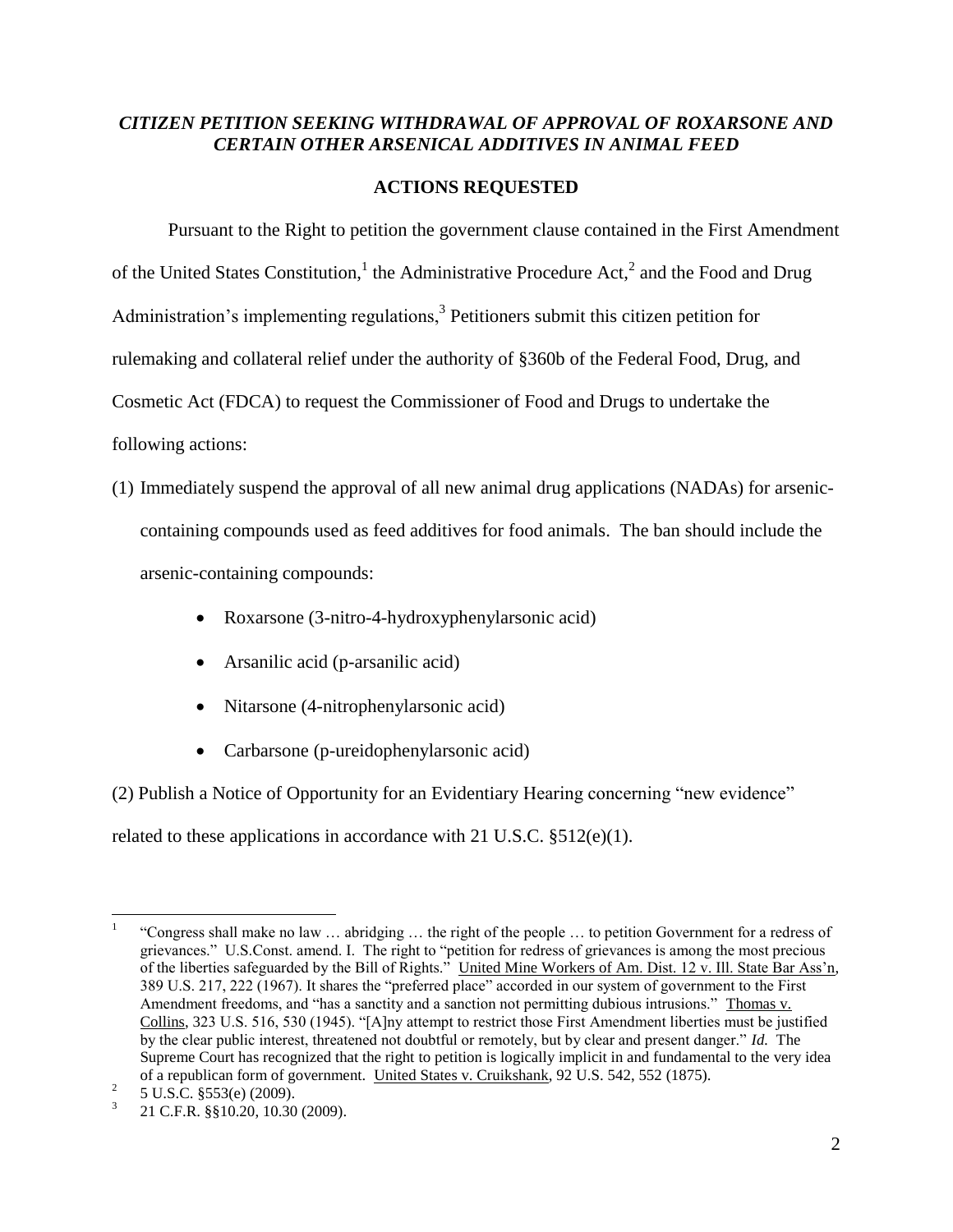## *CITIZEN PETITION SEEKING WITHDRAWAL OF APPROVAL OF ROXARSONE AND CERTAIN OTHER ARSENICAL ADDITIVES IN ANIMAL FEED*

# **ACTIONS REQUESTED**

Pursuant to the Right to petition the government clause contained in the First Amendment of the United States Constitution,<sup>1</sup> the Administrative Procedure Act,<sup>2</sup> and the Food and Drug Administration's implementing regulations, $3$  Petitioners submit this citizen petition for rulemaking and collateral relief under the authority of §360b of the Federal Food, Drug, and Cosmetic Act (FDCA) to request the Commissioner of Food and Drugs to undertake the following actions:

- (1) Immediately suspend the approval of all new animal drug applications (NADAs) for arseniccontaining compounds used as feed additives for food animals. The ban should include the arsenic-containing compounds:
	- Roxarsone (3-nitro-4-hydroxyphenylarsonic acid)
	- Arsanilic acid (p-arsanilic acid)
	- Nitarsone (4-nitrophenylarsonic acid)
	- Carbarsone (p-ureidophenylarsonic acid)

(2) Publish a Notice of Opportunity for an Evidentiary Hearing concerning "new evidence"

related to these applications in accordance with 21 U.S.C. §512(e)(1).

 $\overline{a}$ 1 "Congress shall make no law … abridging … the right of the people … to petition Government for a redress of grievances." U.S.Const. amend. I. The right to "petition for redress of grievances is among the most precious of the liberties safeguarded by the Bill of Rights." United Mine Workers of Am. Dist. 12 v. Ill. State Bar Ass'n, 389 U.S. 217, 222 (1967). It shares the "preferred place" accorded in our system of government to the First Amendment freedoms, and "has a sanctity and a sanction not permitting dubious intrusions." Thomas v. Collins, 323 U.S. 516, 530 (1945). "[A]ny attempt to restrict those First Amendment liberties must be justified by the clear public interest, threatened not doubtful or remotely, but by clear and present danger." *Id.* The Supreme Court has recognized that the right to petition is logically implicit in and fundamental to the very idea of a republican form of government. United States v. Cruikshank, 92 U.S. 542, 552 (1875).

<sup>2</sup> 5 U.S.C. §553(e) (2009).

<sup>3</sup> 21 C.F.R. §§10.20, 10.30 (2009).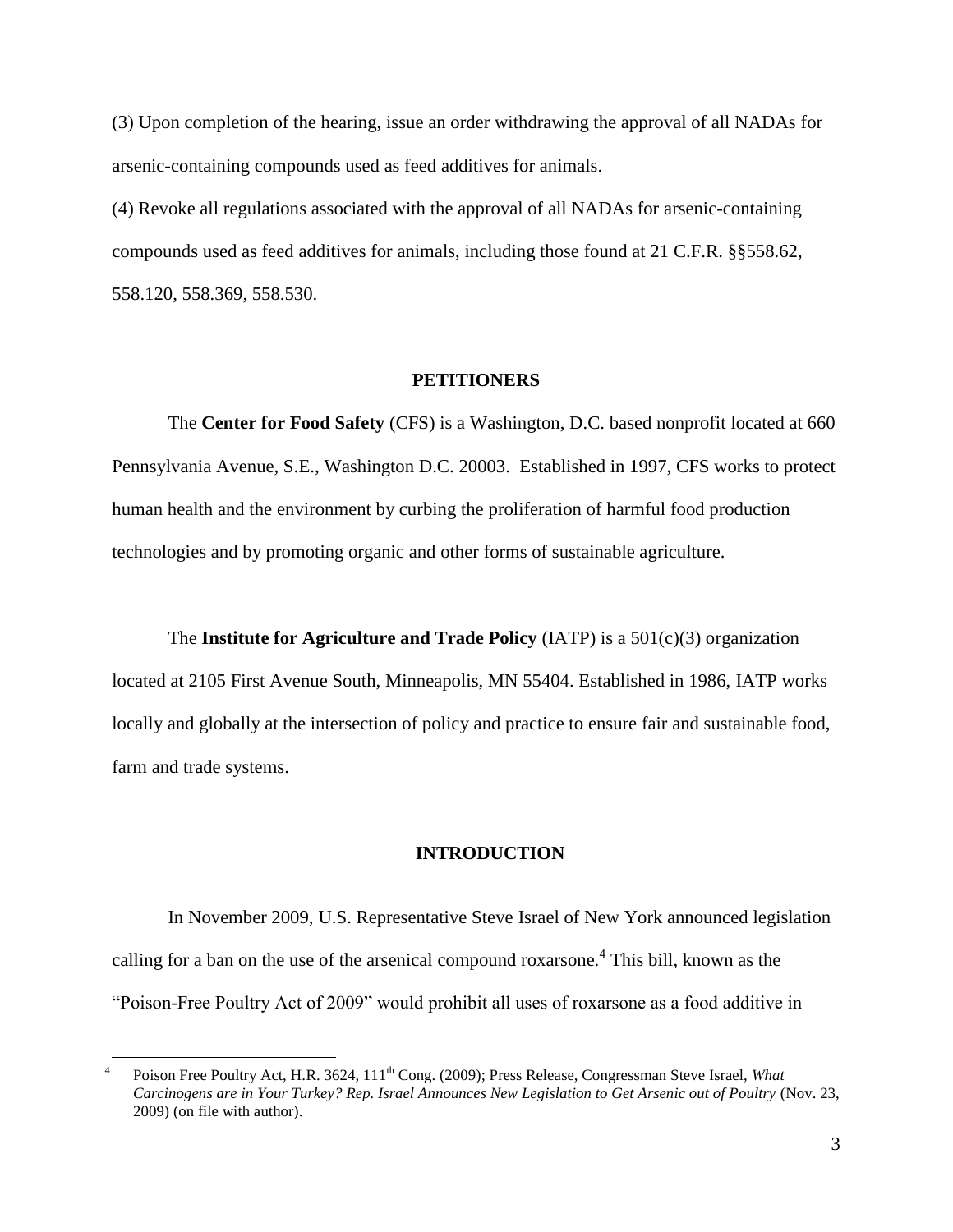(3) Upon completion of the hearing, issue an order withdrawing the approval of all NADAs for arsenic-containing compounds used as feed additives for animals.

(4) Revoke all regulations associated with the approval of all NADAs for arsenic-containing compounds used as feed additives for animals, including those found at 21 C.F.R. §§558.62, 558.120, 558.369, 558.530.

#### **PETITIONERS**

The **Center for Food Safety** (CFS) is a Washington, D.C. based nonprofit located at 660 Pennsylvania Avenue, S.E., Washington D.C. 20003. Established in 1997, CFS works to protect human health and the environment by curbing the proliferation of harmful food production technologies and by promoting organic and other forms of sustainable agriculture.

The **Institute for Agriculture and Trade Policy** (IATP) is a 501(c)(3) organization

located at 2105 First Avenue South, Minneapolis, MN 55404. Established in 1986, IATP works locally and globally at the intersection of policy and practice to ensure fair and sustainable food, farm and trade systems.

#### **INTRODUCTION**

In November 2009, U.S. Representative Steve Israel of New York announced legislation calling for a ban on the use of the arsenical compound roxarsone.<sup>4</sup> This bill, known as the "Poison-Free Poultry Act of 2009" would prohibit all uses of roxarsone as a food additive in

<sup>4</sup> Poison Free Poultry Act, H.R. 3624, 111<sup>th</sup> Cong. (2009); Press Release, Congressman Steve Israel, *What Carcinogens are in Your Turkey? Rep. Israel Announces New Legislation to Get Arsenic out of Poultry* (Nov. 23, 2009) (on file with author).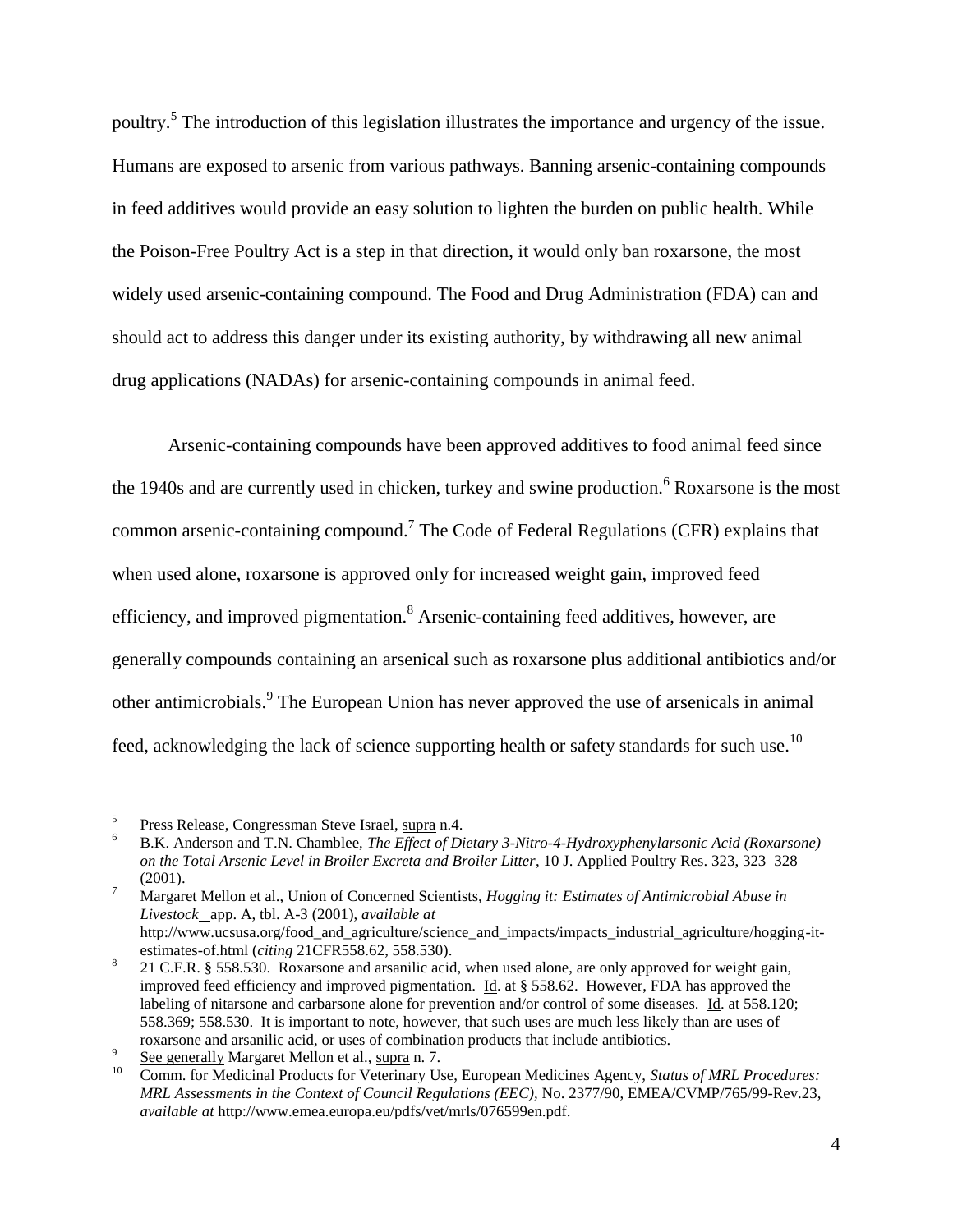poultry.<sup>5</sup> The introduction of this legislation illustrates the importance and urgency of the issue. Humans are exposed to arsenic from various pathways. Banning arsenic-containing compounds in feed additives would provide an easy solution to lighten the burden on public health. While the Poison-Free Poultry Act is a step in that direction, it would only ban roxarsone, the most widely used arsenic-containing compound. The Food and Drug Administration (FDA) can and should act to address this danger under its existing authority, by withdrawing all new animal drug applications (NADAs) for arsenic-containing compounds in animal feed.

Arsenic-containing compounds have been approved additives to food animal feed since the 1940s and are currently used in chicken, turkey and swine production. <sup>6</sup> Roxarsone is the most common arsenic-containing compound.<sup>7</sup> The Code of Federal Regulations (CFR) explains that when used alone, roxarsone is approved only for increased weight gain, improved feed efficiency, and improved pigmentation.<sup>8</sup> Arsenic-containing feed additives, however, are generally compounds containing an arsenical such as roxarsone plus additional antibiotics and/or other antimicrobials.<sup>9</sup> The European Union has never approved the use of arsenicals in animal feed, acknowledging the lack of science supporting health or safety standards for such use.<sup>10</sup>

 5 Press Release, Congressman Steve Israel, supra n.4.

<sup>6</sup> B.K. Anderson and T.N. Chamblee, *The Effect of Dietary 3-Nitro-4-Hydroxyphenylarsonic Acid (Roxarsone) on the Total Arsenic Level in Broiler Excreta and Broiler Litter*, 10 J. Applied Poultry Res. 323, 323–328 (2001).

<sup>7</sup> Margaret Mellon et al., Union of Concerned Scientists, *Hogging it: Estimates of Antimicrobial Abuse in Livestock* app. A, tbl. A-3 (2001), *available at* http://www.ucsusa.org/food\_and\_agriculture/science\_and\_impacts/impacts\_industrial\_agriculture/hogging-itestimates-of.html (*citing* 21CFR558.62, 558.530).

<sup>8</sup> 21 C.F.R. § 558.530. Roxarsone and arsanilic acid, when used alone, are only approved for weight gain, improved feed efficiency and improved pigmentation. Id. at § 558.62. However, FDA has approved the labeling of nitarsone and carbarsone alone for prevention and/or control of some diseases. Id. at 558.120; 558.369; 558.530. It is important to note, however, that such uses are much less likely than are uses of roxarsone and arsanilic acid, or uses of combination products that include antibiotics.

<sup>9</sup> See generally Margaret Mellon et al., supra n. 7.

<sup>10</sup> Comm. for Medicinal Products for Veterinary Use, European Medicines Agency, *Status of MRL Procedures: MRL Assessments in the Context of Council Regulations (EEC),* No. 2377/90, EMEA/CVMP/765/99-Rev.23, *available at* http://www.emea.europa.eu/pdfs/vet/mrls/076599en.pdf.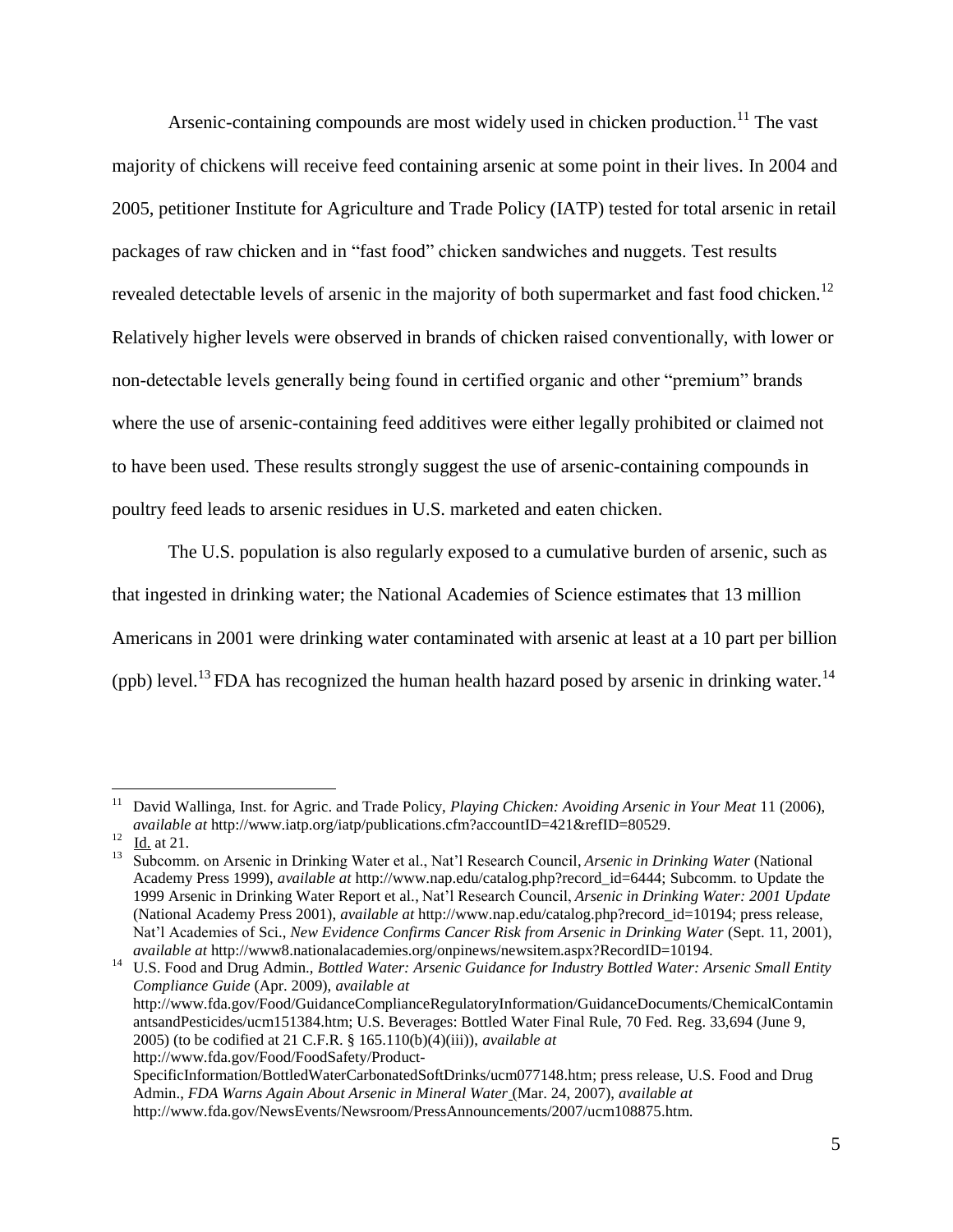Arsenic-containing compounds are most widely used in chicken production.<sup>11</sup> The vast majority of chickens will receive feed containing arsenic at some point in their lives. In 2004 and 2005, petitioner Institute for Agriculture and Trade Policy (IATP) tested for total arsenic in retail packages of raw chicken and in "fast food" chicken sandwiches and nuggets. Test results revealed detectable levels of arsenic in the majority of both supermarket and fast food chicken.<sup>12</sup> Relatively higher levels were observed in brands of chicken raised conventionally, with lower or non-detectable levels generally being found in certified organic and other "premium" brands where the use of arsenic-containing feed additives were either legally prohibited or claimed not to have been used. These results strongly suggest the use of arsenic-containing compounds in poultry feed leads to arsenic residues in U.S. marketed and eaten chicken.

The U.S. population is also regularly exposed to a cumulative burden of arsenic, such as that ingested in drinking water; the National Academies of Science estimates that 13 million Americans in 2001 were drinking water contaminated with arsenic at least at a 10 part per billion (ppb) level.<sup>13</sup> FDA has recognized the human health hazard posed by arsenic in drinking water.<sup>14</sup>

 $\overline{a}$ 

<sup>14</sup> U.S. Food and Drug Admin., *Bottled Water: Arsenic Guidance for Industry Bottled Water: Arsenic Small Entity Compliance Guide* (Apr. 2009), *available at* http://www.fda.gov/Food/GuidanceComplianceRegulatoryInformation/GuidanceDocuments/ChemicalContamin antsandPesticides/ucm151384.htm; U.S. Beverages: Bottled Water Final Rule, 70 Fed. Reg. 33,694 (June 9, 2005) (to be codified at 21 C.F.R. § 165.110(b)(4)(iii)), *available at*

[http://www.fda.gov/Food/FoodSafety/Product-](http://www.fda.gov/Food/FoodSafety/Product-SpecificInformation/BottledWaterCarbonatedSoftDrinks/ucm077148.htm)

<sup>11</sup> David Wallinga, Inst. for Agric. and Trade Policy, *Playing Chicken: Avoiding Arsenic in Your Meat* 11 (2006), *available at* http://www.iatp.org/iatp/publications.cfm?accountID=421&refID=80529.

<sup>12</sup> Id. at 21.

<sup>13</sup> Subcomm. on Arsenic in Drinking Water et al., Nat"l Research Council, *Arsenic in Drinking Water* (National Academy Press 1999), *available at* http://www.nap.edu/catalog.php?record\_id=6444; Subcomm. to Update the 1999 Arsenic in Drinking Water Report et al., Nat"l Research Council, *Arsenic in Drinking Water: 2001 Update* (National Academy Press 2001), *available at* http://www.nap.edu/catalog.php?record\_id=10194; press release, Nat"l Academies of Sci., *New Evidence Confirms Cancer Risk from Arsenic in Drinking Water* (Sept. 11, 2001), *available at* http://www8.nationalacademies.org/onpinews/newsitem.aspx?RecordID=10194.

[SpecificInformation/BottledWaterCarbonatedSoftDrinks/ucm077148.htm;](http://www.fda.gov/Food/FoodSafety/Product-SpecificInformation/BottledWaterCarbonatedSoftDrinks/ucm077148.htm) press release, U.S. Food and Drug Admin., *FDA Warns Again About Arsenic in Mineral Water* (Mar. 24, 2007), *available at* http://www.fda.gov/NewsEvents/Newsroom/PressAnnouncements/2007/ucm108875.htm.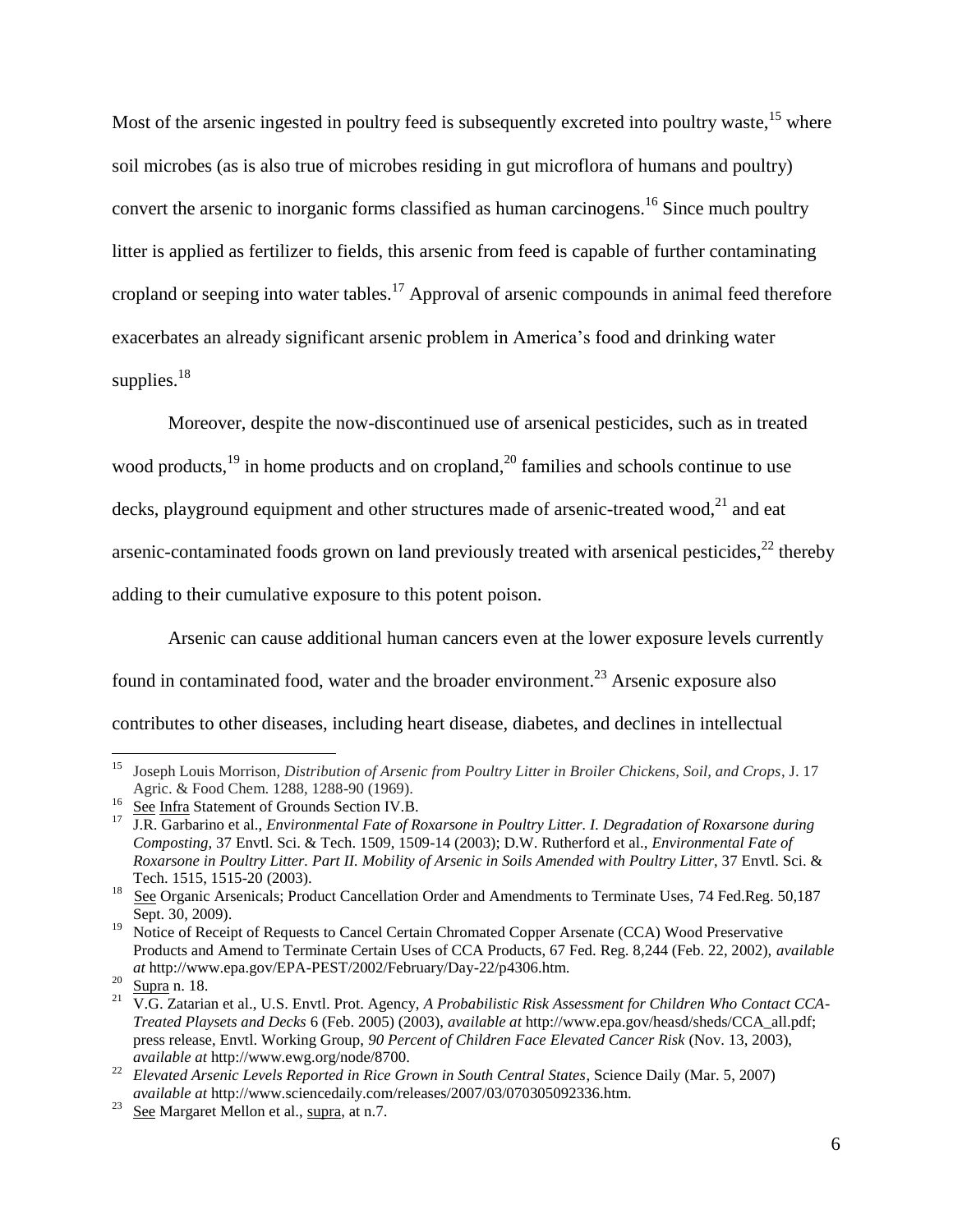Most of the arsenic ingested in poultry feed is subsequently excreted into poultry waste, <sup>15</sup> where soil microbes (as is also true of microbes residing in gut microflora of humans and poultry) convert the arsenic to inorganic forms classified as human carcinogens.<sup>16</sup> Since much poultry litter is applied as fertilizer to fields, this arsenic from feed is capable of further contaminating cropland or seeping into water tables.<sup>17</sup> Approval of arsenic compounds in animal feed therefore exacerbates an already significant arsenic problem in America"s food and drinking water supplies.<sup>18</sup>

Moreover, despite the now-discontinued use of arsenical pesticides, such as in treated wood products,  $19$  in home products and on cropland,  $20$  families and schools continue to use decks, playground equipment and other structures made of arsenic-treated wood,<sup>21</sup> and eat arsenic-contaminated foods grown on land previously treated with arsenical pesticides, $^{22}$  thereby adding to their cumulative exposure to this potent poison.

Arsenic can cause additional human cancers even at the lower exposure levels currently found in contaminated food, water and the broader environment.<sup>23</sup> Arsenic exposure also contributes to other diseases, including heart disease, diabetes, and declines in intellectual

 15 Joseph Louis Morrison*, Distribution of Arsenic from Poultry Litter in Broiler Chickens, Soil, and Crops*, J. 17 Agric. & Food Chem. 1288, 1288-90 (1969).

See Infra Statement of Grounds Section IV.B.

<sup>17</sup> J.R. Garbarino et al., *Environmental Fate of Roxarsone in Poultry Litter. I. Degradation of Roxarsone during Composting*, 37 Envtl. Sci. & Tech. 1509, 1509-14 (2003); D.W. Rutherford et al., *Environmental Fate of Roxarsone in Poultry Litter. Part II. Mobility of Arsenic in Soils Amended with Poultry Litter*, 37 Envtl. Sci. & Tech. 1515, 1515-20 (2003).

<sup>&</sup>lt;sup>18</sup> See Organic Arsenicals; Product Cancellation Order and Amendments to Terminate Uses, 74 Fed.Reg. 50,187 Sept. 30, 2009).

<sup>&</sup>lt;sup>19</sup> Notice of Receipt of Requests to Cancel Certain Chromated Copper Arsenate (CCA) Wood Preservative Products and Amend to Terminate Certain Uses of CCA Products, 67 Fed. Reg. 8,244 (Feb. 22, 2002), *available at* http://www.epa.gov/EPA-PEST/2002/February/Day-22/p4306.htm.

 $^{20}$  Supra n. 18.

<sup>21</sup> V.G. Zatarian et al., U.S. Envtl. Prot. Agency, *A Probabilistic Risk Assessment for Children Who Contact CCA-Treated Playsets and Decks* 6 (Feb. 2005) (2003), *available at* http://www.epa.gov/heasd/sheds/CCA\_all.pdf; press release, Envtl. Working Group, *90 Percent of Children Face Elevated Cancer Risk* (Nov. 13, 2003), *available at* http://www.ewg.org/node/8700.

<sup>22</sup> *Elevated Arsenic Levels Reported in Rice Grown in South Central States*, Science Daily (Mar. 5, 2007) *available at* http://www.sciencedaily.com/releases/2007/03/070305092336.htm.

<sup>&</sup>lt;sup>23</sup> See Margaret Mellon et al., supra, at n.7.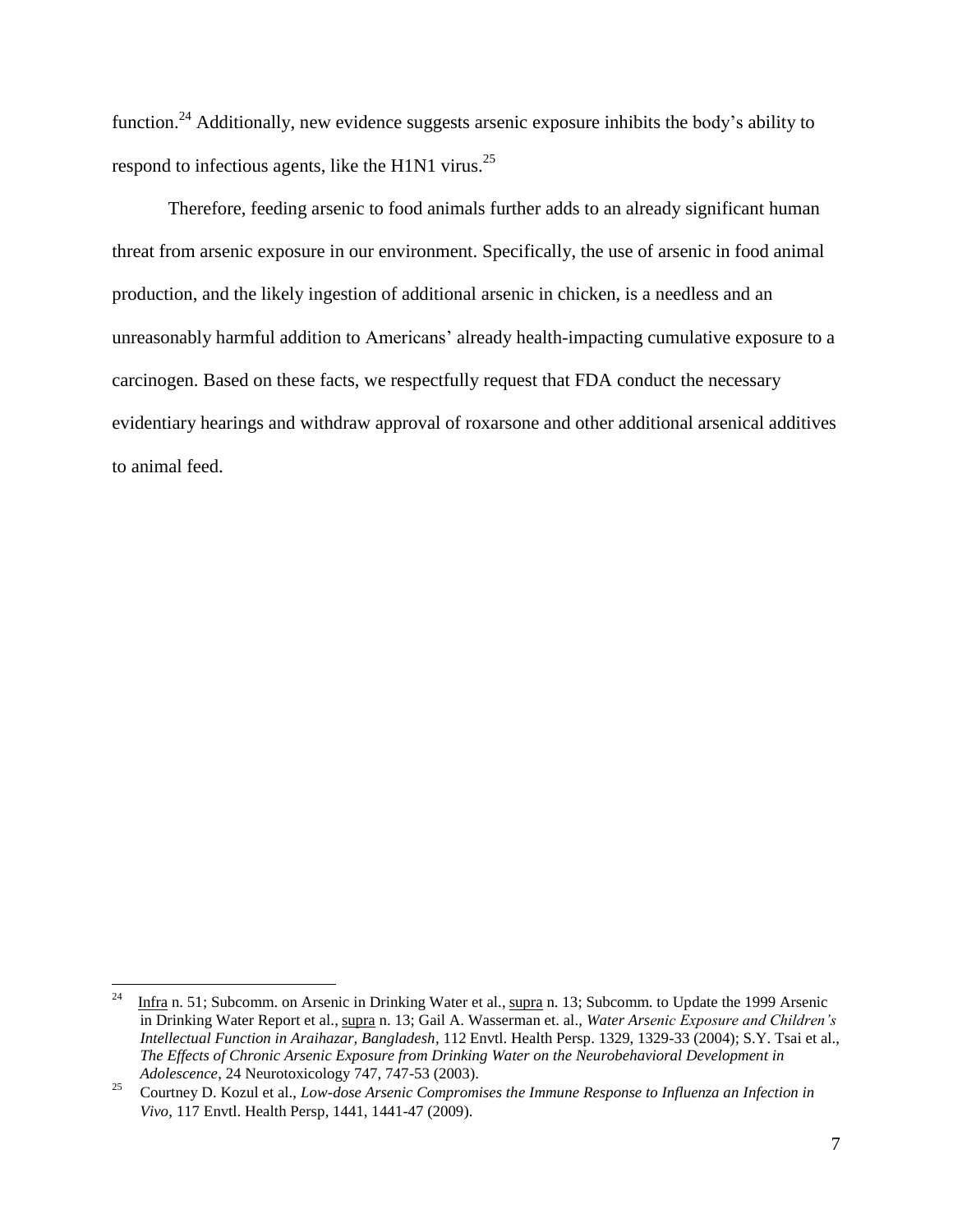function.<sup>24</sup> Additionally, new evidence suggests arsenic exposure inhibits the body's ability to respond to infectious agents, like the H1N1 virus.<sup>25</sup>

Therefore, feeding arsenic to food animals further adds to an already significant human threat from arsenic exposure in our environment. Specifically, the use of arsenic in food animal production, and the likely ingestion of additional arsenic in chicken, is a needless and an unreasonably harmful addition to Americans" already health-impacting cumulative exposure to a carcinogen. Based on these facts, we respectfully request that FDA conduct the necessary evidentiary hearings and withdraw approval of roxarsone and other additional arsenical additives to animal feed.

 $\frac{1}{24}$  Infra n. 51; Subcomm. on Arsenic in Drinking Water et al., supra n. 13; Subcomm. to Update the 1999 Arsenic in Drinking Water Report et al., supra n. 13; Gail A. Wasserman et. al., *Water Arsenic Exposure and Children's Intellectual Function in Araihazar, Bangladesh*, 112 Envtl. Health Persp. 1329, 1329-33 (2004); S.Y. Tsai et al., *The Effects of Chronic Arsenic Exposure from Drinking Water on the Neurobehavioral Development in Adolescence*, 24 Neurotoxicology 747, 747-53 (2003).

<sup>25</sup> Courtney D. Kozul et al., *Low-dose Arsenic Compromises the Immune Response to Influenza an Infection in Vivo*, 117 Envtl. Health Persp, 1441, 1441-47 (2009).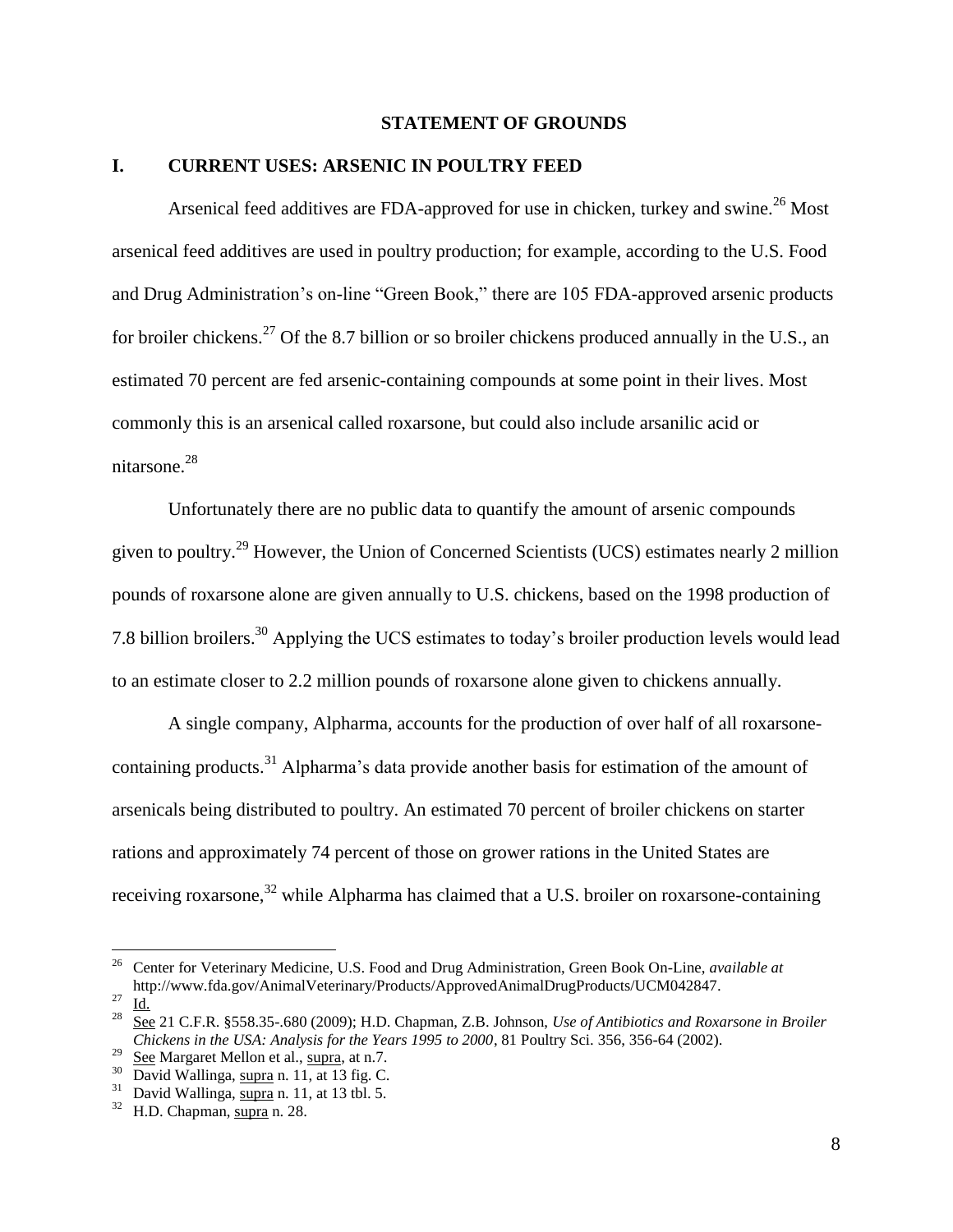#### **STATEMENT OF GROUNDS**

### **I. CURRENT USES: ARSENIC IN POULTRY FEED**

Arsenical feed additives are FDA-approved for use in chicken, turkey and swine.<sup>26</sup> Most arsenical feed additives are used in poultry production; for example, according to the U.S. Food and Drug Administration's on-line "Green Book," there are 105 FDA-approved arsenic products for broiler chickens.<sup>27</sup> Of the 8.7 billion or so broiler chickens produced annually in the U.S., an estimated 70 percent are fed arsenic-containing compounds at some point in their lives. Most commonly this is an arsenical called roxarsone, but could also include arsanilic acid or nitarsone. 28

Unfortunately there are no public data to quantify the amount of arsenic compounds given to poultry.<sup>29</sup> However, the Union of Concerned Scientists (UCS) estimates nearly 2 million pounds of roxarsone alone are given annually to U.S. chickens, based on the 1998 production of 7.8 billion broilers.<sup>30</sup> Applying the UCS estimates to today"s broiler production levels would lead to an estimate closer to 2.2 million pounds of roxarsone alone given to chickens annually.

A single company, Alpharma, accounts for the production of over half of all roxarsonecontaining products.<sup>31</sup> Alpharma's data provide another basis for estimation of the amount of arsenicals being distributed to poultry. An estimated 70 percent of broiler chickens on starter rations and approximately 74 percent of those on grower rations in the United States are receiving roxarsone,<sup>32</sup> while Alpharma has claimed that a U.S. broiler on roxarsone-containing

<sup>26</sup> Center for Veterinary Medicine, U.S. Food and Drug Administration, Green Book On-Line, *available at* http://www.fda.gov/AnimalVeterinary/Products/ApprovedAnimalDrugProducts/UCM042847.

 $rac{27}{28}$   $\frac{\text{Id.}}{\text{S}}$ 

<sup>28</sup> See 21 C.F.R. §558.35-.680 (2009); H.D. Chapman, Z.B. Johnson, *Use of Antibiotics and Roxarsone in Broiler Chickens in the USA: Analysis for the Years 1995 to 2000*, 81 Poultry Sci. 356, 356-64 (2002).

<sup>&</sup>lt;sup>29</sup> See Margaret Mellon et al.,  $\frac{\text{supra}}{\text{supra}}}$ , at n.7.

 $30\overline{\text{David Wallinga}}$ , supra n. 11, at 13 fig. C.

 $31$  David Wallinga,  $\overline{\text{supra}}$  n. 11, at 13 tbl. 5.

 $32$  H.D. Chapman, supra n. 28.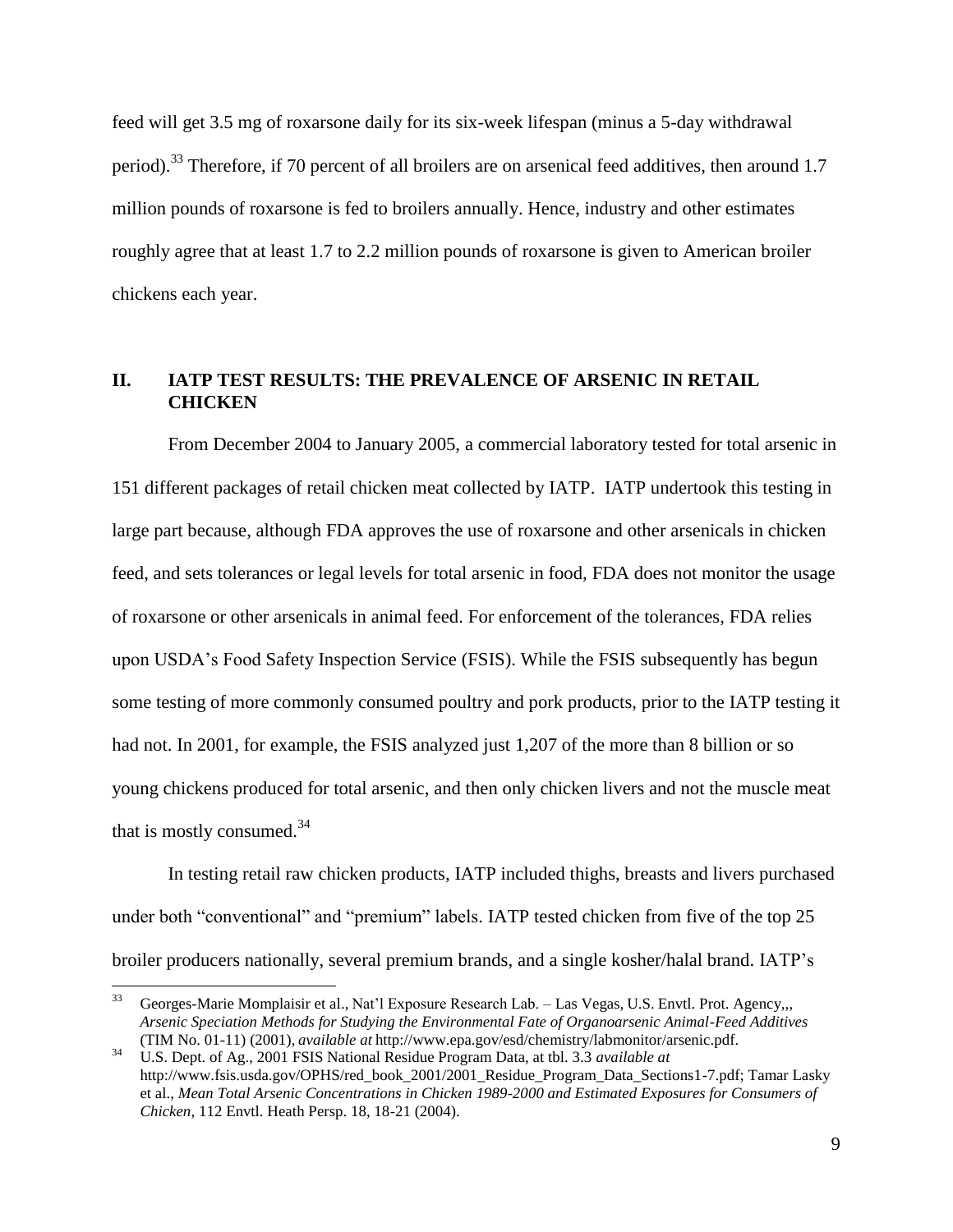feed will get 3.5 mg of roxarsone daily for its six-week lifespan (minus a 5-day withdrawal period).<sup>33</sup> Therefore, if 70 percent of all broilers are on arsenical feed additives, then around 1.7 million pounds of roxarsone is fed to broilers annually. Hence, industry and other estimates roughly agree that at least 1.7 to 2.2 million pounds of roxarsone is given to American broiler chickens each year.

## **II. IATP TEST RESULTS: THE PREVALENCE OF ARSENIC IN RETAIL CHICKEN**

From December 2004 to January 2005, a commercial laboratory tested for total arsenic in 151 different packages of retail chicken meat collected by IATP. IATP undertook this testing in large part because, although FDA approves the use of roxarsone and other arsenicals in chicken feed, and sets tolerances or legal levels for total arsenic in food, FDA does not monitor the usage of roxarsone or other arsenicals in animal feed. For enforcement of the tolerances, FDA relies upon USDA"s Food Safety Inspection Service (FSIS). While the FSIS subsequently has begun some testing of more commonly consumed poultry and pork products, prior to the IATP testing it had not. In 2001, for example, the FSIS analyzed just 1,207 of the more than 8 billion or so young chickens produced for total arsenic, and then only chicken livers and not the muscle meat that is mostly consumed.<sup>34</sup>

In testing retail raw chicken products, IATP included thighs, breasts and livers purchased under both "conventional" and "premium" labels. IATP tested chicken from five of the top 25 broiler producers nationally, several premium brands, and a single kosher/halal brand. IATP"s

<sup>33</sup> <sup>33</sup> Georges-Marie Momplaisir et al., Nat"l Exposure Research Lab. – Las Vegas, U.S. Envtl. Prot. Agency,,, *Arsenic Speciation Methods for Studying the Environmental Fate of Organoarsenic Animal-Feed Additives*  (TIM No. 01-11) (2001), *available at* http://www.epa.gov/esd/chemistry/labmonitor/arsenic.pdf.

<sup>34</sup> U.S. Dept. of Ag., 2001 FSIS National Residue Program Data, at tbl. 3.3 *available at*  http://www.fsis.usda.gov/OPHS/red\_book\_2001/2001\_Residue\_Program\_Data\_Sections1-7.pdf; Tamar Lasky et al., *Mean Total Arsenic Concentrations in Chicken 1989-2000 and Estimated Exposures for Consumers of Chicken*, 112 Envtl. Heath Persp. 18, 18-21 (2004).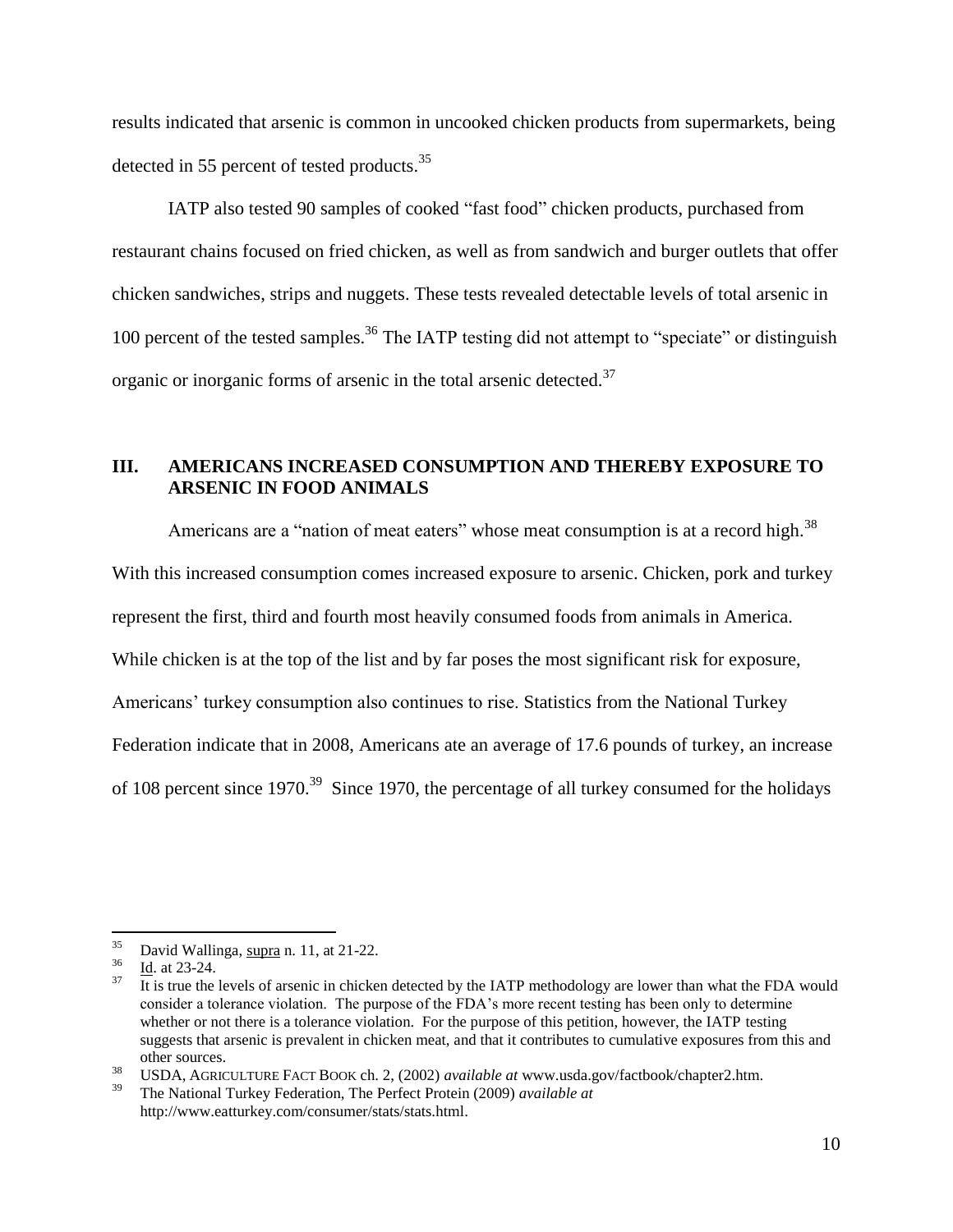results indicated that arsenic is common in uncooked chicken products from supermarkets, being detected in 55 percent of tested products.<sup>35</sup>

IATP also tested 90 samples of cooked "fast food" chicken products, purchased from restaurant chains focused on fried chicken, as well as from sandwich and burger outlets that offer chicken sandwiches, strips and nuggets. These tests revealed detectable levels of total arsenic in 100 percent of the tested samples.<sup>36</sup> The IATP testing did not attempt to "speciate" or distinguish organic or inorganic forms of arsenic in the total arsenic detected.<sup>37</sup>

## **III. AMERICANS INCREASED CONSUMPTION AND THEREBY EXPOSURE TO ARSENIC IN FOOD ANIMALS**

Americans are a "nation of meat eaters" whose meat consumption is at a record high.<sup>38</sup> With this increased consumption comes increased exposure to arsenic. Chicken, pork and turkey represent the first, third and fourth most heavily consumed foods from animals in America. While chicken is at the top of the list and by far poses the most significant risk for exposure, Americans" turkey consumption also continues to rise. Statistics from the National Turkey Federation indicate that in 2008, Americans ate an average of 17.6 pounds of turkey, an increase of 108 percent since  $1970^{39}$  Since 1970, the percentage of all turkey consumed for the holidays

 $\overline{a}$ 

<sup>38</sup> USDA, AGRICULTURE FACT BOOK ch. 2, (2002) *available at* www.usda.gov/factbook/chapter2.htm.

 $^{35}$  David Wallinga, supra n. 11, at 21-22.

 $rac{36}{37}$  Id. at 23-24.

It is true the levels of arsenic in chicken detected by the IATP methodology are lower than what the FDA would consider a tolerance violation. The purpose of the FDA"s more recent testing has been only to determine whether or not there is a tolerance violation. For the purpose of this petition, however, the IATP testing suggests that arsenic is prevalent in chicken meat, and that it contributes to cumulative exposures from this and other sources.

<sup>39</sup> The National Turkey Federation, The Perfect Protein (2009) *available at* http://www.eatturkey.com/consumer/stats/stats.html.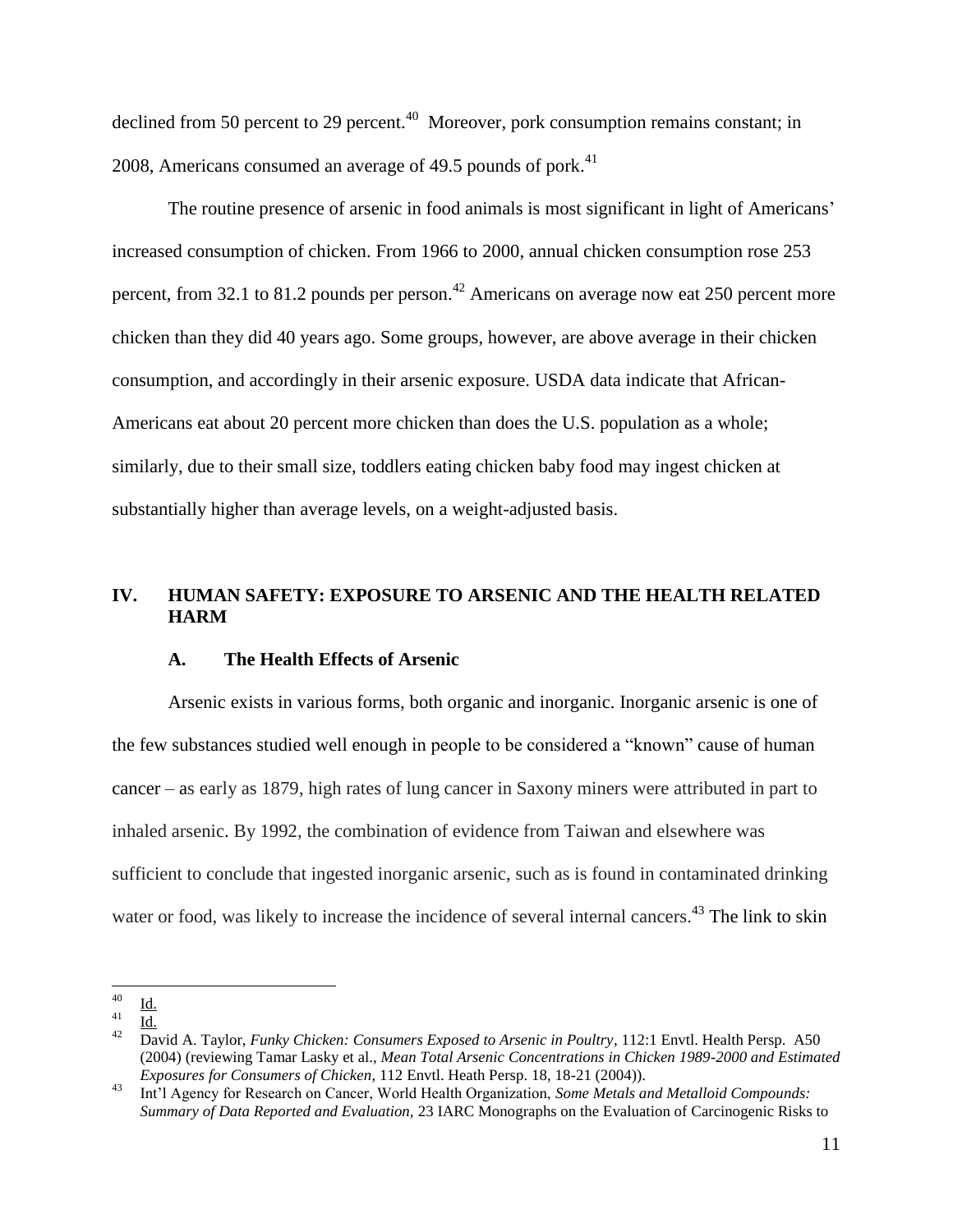declined from 50 percent to 29 percent.<sup>40</sup> Moreover, pork consumption remains constant; in 2008, Americans consumed an average of 49.5 pounds of pork. $41$ 

The routine presence of arsenic in food animals is most significant in light of Americans' increased consumption of chicken. From 1966 to 2000, annual chicken consumption rose 253 percent, from 32.1 to 81.2 pounds per person.<sup>42</sup> Americans on average now eat 250 percent more chicken than they did 40 years ago. Some groups, however, are above average in their chicken consumption, and accordingly in their arsenic exposure. USDA data indicate that African-Americans eat about 20 percent more chicken than does the U.S. population as a whole; similarly, due to their small size, toddlers eating chicken baby food may ingest chicken at substantially higher than average levels, on a weight-adjusted basis.

## **IV. HUMAN SAFETY: EXPOSURE TO ARSENIC AND THE HEALTH RELATED HARM**

## **A. The Health Effects of Arsenic**

Arsenic exists in various forms, both organic and inorganic. Inorganic arsenic is one of the few substances studied well enough in people to be considered a "known" cause of human cancer – as early as 1879, high rates of lung cancer in Saxony miners were attributed in part to inhaled arsenic. By 1992, the combination of evidence from Taiwan and elsewhere was sufficient to conclude that ingested inorganic arsenic, such as is found in contaminated drinking water or food, was likely to increase the incidence of several internal cancers.<sup>43</sup> The link to skin

 $40\,$  $\frac{40}{41}$   $\frac{Id}{14}$ 

 $\frac{41}{42}$   $\frac{Id.}{D_{01}}$ 

<sup>42</sup> David A. Taylor, *Funky Chicken: Consumers Exposed to Arsenic in Poultry*, 112:1 Envtl. Health Persp. A50 (2004) (reviewing Tamar Lasky et al., *Mean Total Arsenic Concentrations in Chicken 1989-2000 and Estimated Exposures for Consumers of Chicken*, 112 Envtl. Heath Persp. 18, 18-21 (2004)).

<sup>43</sup> Int"l Agency for Research on Cancer, World Health Organization, *Some Metals and Metalloid Compounds: Summary of Data Reported and Evaluation,* 23 IARC Monographs on the Evaluation of Carcinogenic Risks to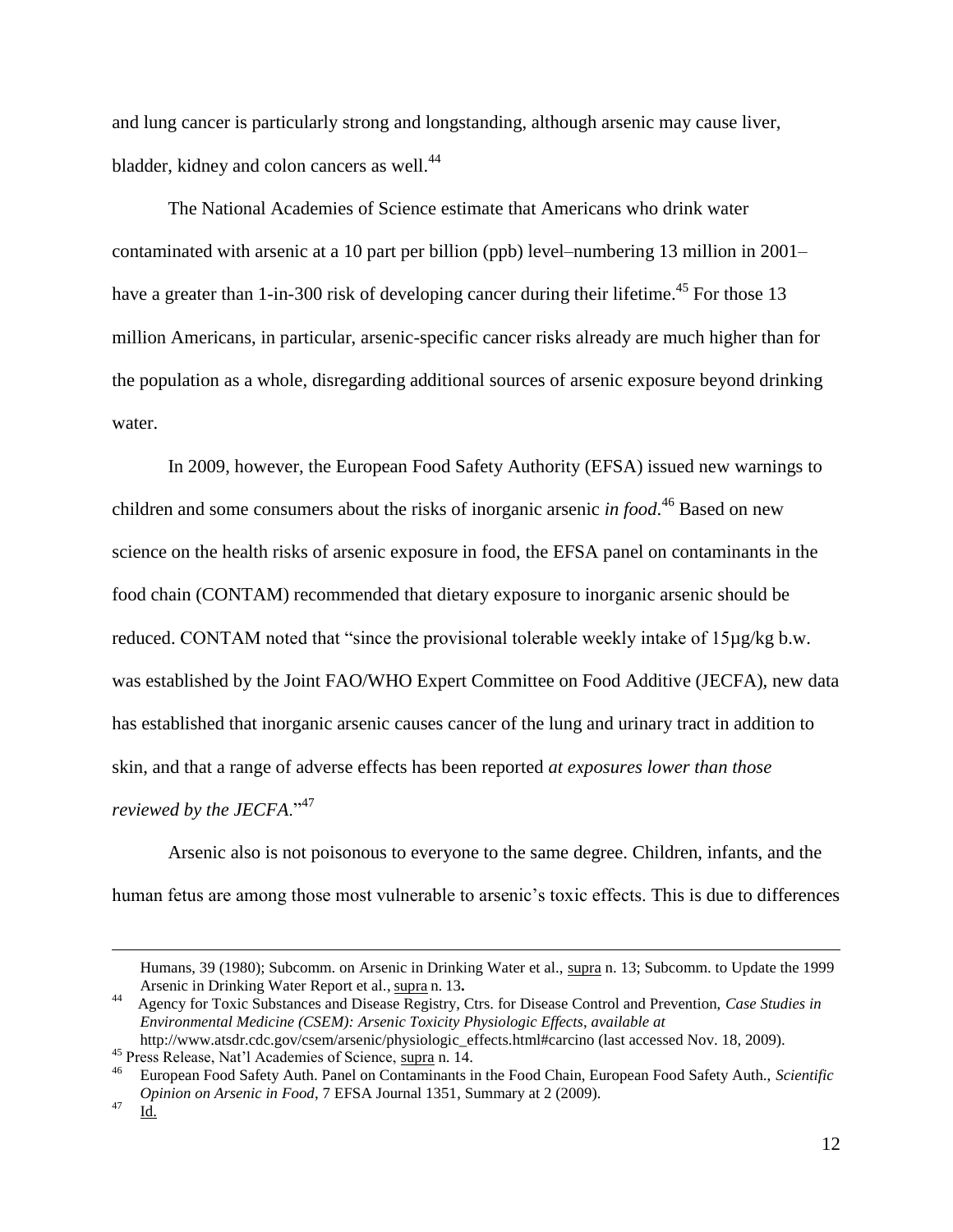and lung cancer is particularly strong and longstanding, although arsenic may cause liver, bladder, kidney and colon cancers as well.<sup>44</sup>

The National Academies of Science estimate that Americans who drink water contaminated with arsenic at a 10 part per billion (ppb) level–numbering 13 million in 2001– have a greater than 1-in-300 risk of developing cancer during their lifetime.<sup>45</sup> For those 13 million Americans, in particular, arsenic-specific cancer risks already are much higher than for the population as a whole, disregarding additional sources of arsenic exposure beyond drinking water.

In 2009, however, the European Food Safety Authority (EFSA) issued new warnings to children and some consumers about the risks of inorganic arsenic *in food*. <sup>46</sup> Based on new science on the health risks of arsenic exposure in food, the EFSA panel on contaminants in the food chain (CONTAM) recommended that dietary exposure to inorganic arsenic should be reduced. CONTAM noted that "since the provisional tolerable weekly intake of 15µg/kg b.w. was established by the Joint FAO/WHO Expert Committee on Food Additive (JECFA), new data has established that inorganic arsenic causes cancer of the lung and urinary tract in addition to skin, and that a range of adverse effects has been reported *at exposures lower than those reviewed by the JECFA.*"<sup>47</sup>

Arsenic also is not poisonous to everyone to the same degree. Children, infants, and the human fetus are among those most vulnerable to arsenic's toxic effects. This is due to differences

Humans, 39 (1980); Subcomm. on Arsenic in Drinking Water et al., supra n. 13; Subcomm. to Update the 1999 Arsenic in Drinking Water Report et al., supra n. 13**.**

<sup>44</sup> Agency for Toxic Substances and Disease Registry, Ctrs. for Disease Control and Prevention, *Case Studies in Environmental Medicine (CSEM): Arsenic Toxicity Physiologic Effects*, *available at* http://www.atsdr.cdc.gov/csem/arsenic/physiologic\_effects.html#carcino (last accessed Nov. 18, 2009).

<sup>&</sup>lt;sup>45</sup> Press Release, Nat'l Academies of Science,  $\frac{\text{supra}}{2}$  n. 14.

<sup>46</sup> European Food Safety Auth. Panel on Contaminants in the Food Chain, European Food Safety Auth., *Scientific Opinion on Arsenic in Food*, 7 EFSA Journal 1351, Summary at 2 (2009).

 $^{47}$  Id.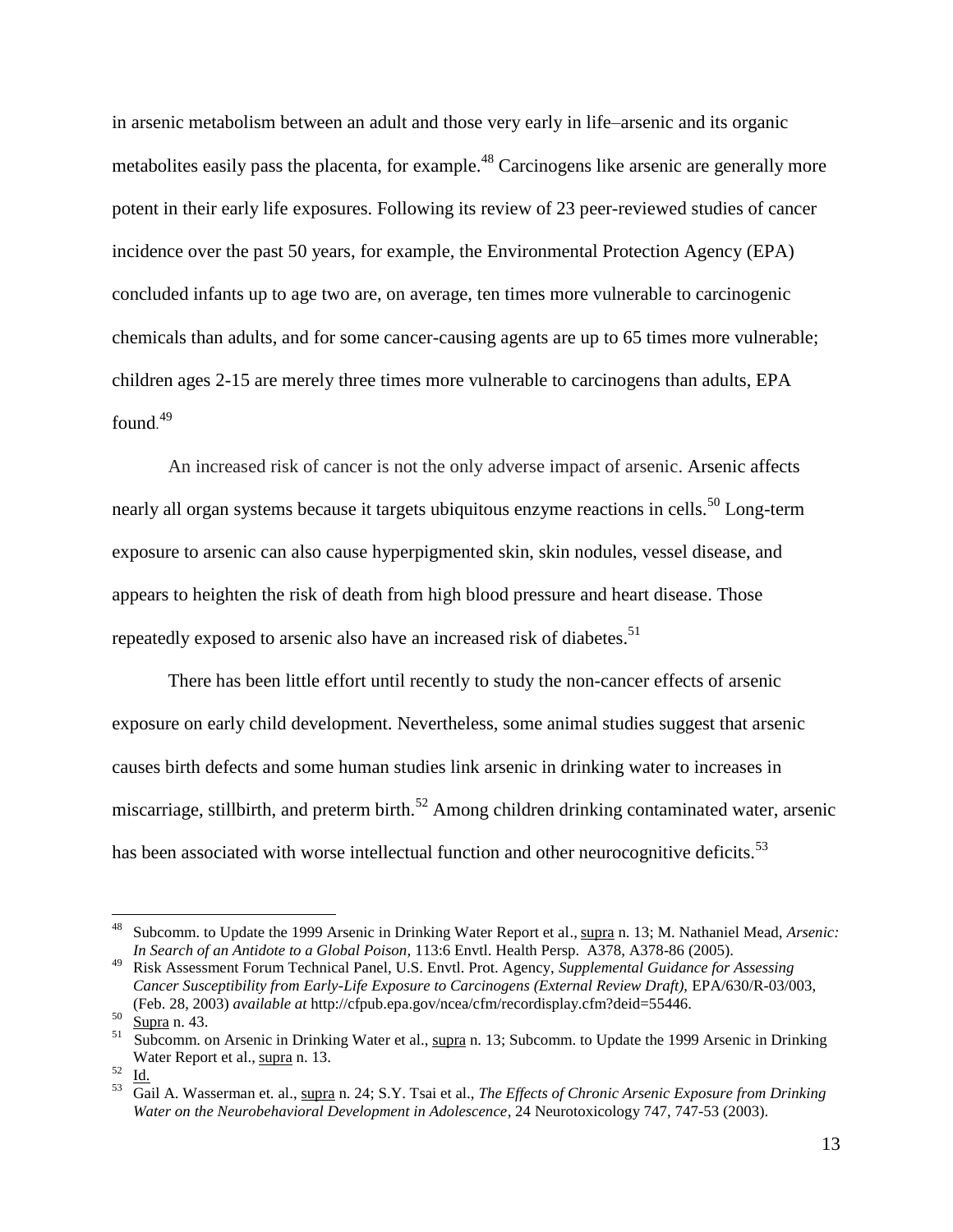in arsenic metabolism between an adult and those very early in life–arsenic and its organic metabolites easily pass the placenta, for example.<sup>48</sup> Carcinogens like arsenic are generally more potent in their early life exposures. Following its review of 23 peer-reviewed studies of cancer incidence over the past 50 years, for example, the Environmental Protection Agency (EPA) concluded infants up to age two are, on average, ten times more vulnerable to carcinogenic chemicals than adults, and for some cancer-causing agents are up to 65 times more vulnerable; children ages 2-15 are merely three times more vulnerable to carcinogens than adults, EPA found. 49

An increased risk of cancer is not the only adverse impact of arsenic. Arsenic affects nearly all organ systems because it targets ubiquitous enzyme reactions in cells.<sup>50</sup> Long-term exposure to arsenic can also cause hyperpigmented skin, skin nodules, vessel disease, and appears to heighten the risk of death from high blood pressure and heart disease. Those repeatedly exposed to arsenic also have an increased risk of diabetes.<sup>51</sup>

There has been little effort until recently to study the non-cancer effects of arsenic exposure on early child development. Nevertheless, some animal studies suggest that arsenic causes birth defects and some human studies link arsenic in drinking water to increases in miscarriage, stillbirth, and preterm birth.<sup>52</sup> Among children drinking contaminated water, arsenic has been associated with worse intellectual function and other neurocognitive deficits.<sup>53</sup>

<sup>48</sup> Subcomm. to Update the 1999 Arsenic in Drinking Water Report et al., supra n. 13; M. Nathaniel Mead, *Arsenic: In Search of an Antidote to a Global Poison,* 113:6 Envtl. Health Persp. A378, A378-86 (2005).

<sup>49</sup> Risk Assessment Forum Technical Panel, U.S. Envtl. Prot. Agency, *Supplemental Guidance for Assessing Cancer Susceptibility from Early-Life Exposure to Carcinogens (External Review Draft),* EPA/630/R-03/003, (Feb. 28, 2003) *available at* http://cfpub.epa.gov/ncea/cfm/recordisplay.cfm?deid=55446.

 $^{50}$  Supra n. 43.

<sup>&</sup>lt;sup>51</sup> Subcomm. on Arsenic in Drinking Water et al., supra n. 13; Subcomm. to Update the 1999 Arsenic in Drinking Water Report et al., supra n. 13.

 $52 \text{ Id.}$ 

<sup>53</sup> Gail A. Wasserman et. al., supra n. 24; S.Y. Tsai et al., *The Effects of Chronic Arsenic Exposure from Drinking Water on the Neurobehavioral Development in Adolescence*, 24 Neurotoxicology 747, 747-53 (2003).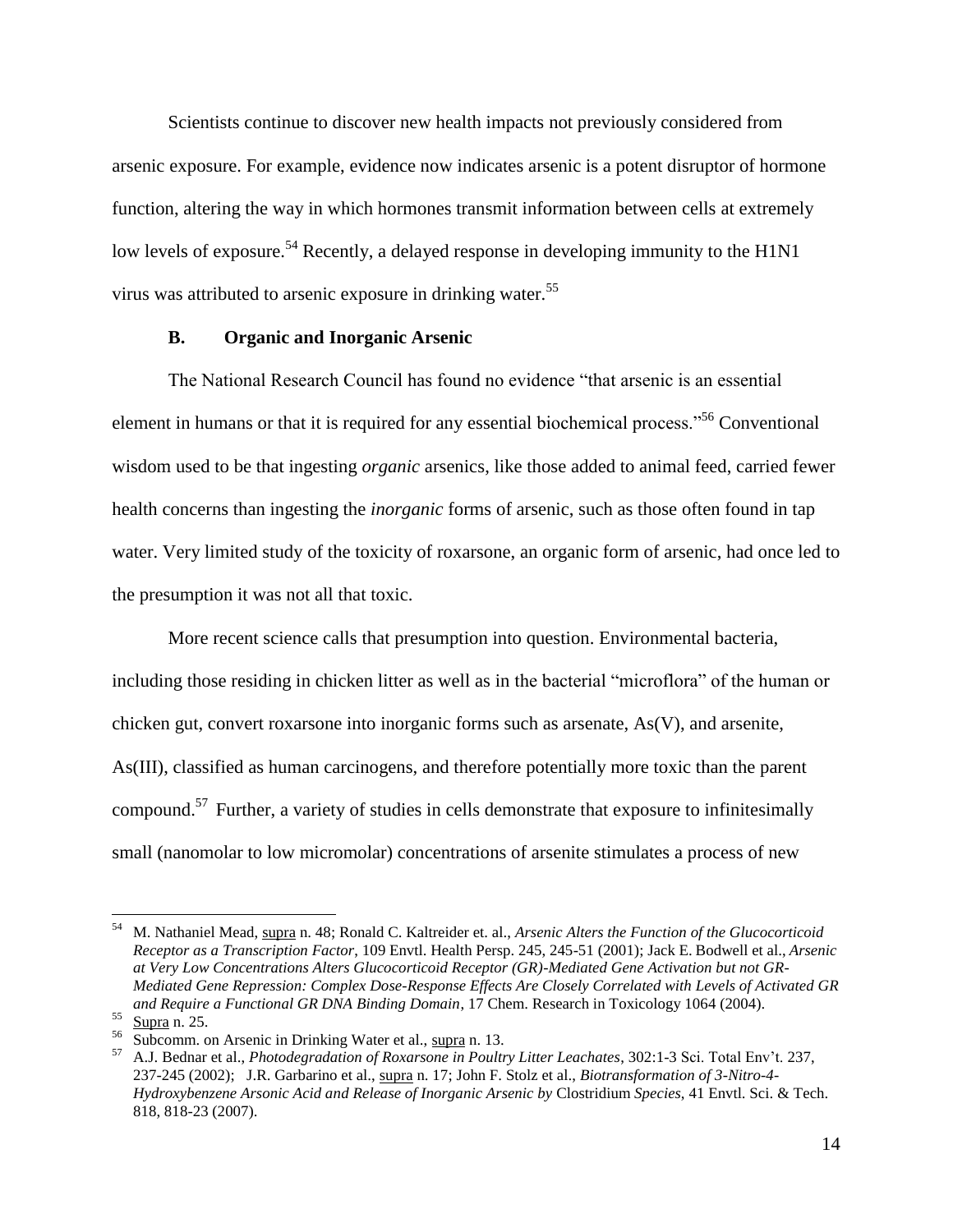Scientists continue to discover new health impacts not previously considered from arsenic exposure. For example, evidence now indicates arsenic is a potent disruptor of hormone function, altering the way in which hormones transmit information between cells at extremely low levels of exposure.<sup>54</sup> Recently, a delayed response in developing immunity to the H1N1 virus was attributed to arsenic exposure in drinking water.<sup>55</sup>

#### **B. Organic and Inorganic Arsenic**

The National Research Council has found no evidence "that arsenic is an essential element in humans or that it is required for any essential biochemical process."<sup>56</sup> Conventional wisdom used to be that ingesting *organic* arsenics, like those added to animal feed, carried fewer health concerns than ingesting the *inorganic* forms of arsenic, such as those often found in tap water. Very limited study of the toxicity of roxarsone, an organic form of arsenic, had once led to the presumption it was not all that toxic.

More recent science calls that presumption into question. Environmental bacteria, including those residing in chicken litter as well as in the bacterial "microflora" of the human or chicken gut, convert roxarsone into inorganic forms such as arsenate, As(V), and arsenite, As(III), classified as human carcinogens, and therefore potentially more toxic than the parent compound.<sup>57</sup> Further, a variety of studies in cells demonstrate that exposure to infinitesimally small (nanomolar to low micromolar) concentrations of arsenite stimulates a process of new

<sup>54</sup> M. Nathaniel Mead, supra n. 48; Ronald C. Kaltreider et. al., *Arsenic Alters the Function of the Glucocorticoid Receptor as a Transcription Factor*, 109 Envtl. Health Persp. 245, 245-51 (2001); Jack E. Bodwell et al., *Arsenic at Very Low Concentrations Alters Glucocorticoid Receptor (GR)-Mediated Gene Activation but not GR-Mediated Gene Repression: Complex Dose-Response Effects Are Closely Correlated with Levels of Activated GR and Require a Functional GR DNA Binding Domain*, 17 Chem. Research in Toxicology 1064 (2004).

 $55$  Supra n. 25.

 $56$  Subcomm. on Arsenic in Drinking Water et al., supra n. 13.

<sup>57</sup> A.J. Bednar et al., *Photodegradation of Roxarsone in Poultry Litter Leachates*, 302:1-3 Sci. Total Env"t. 237, 237-245 (2002); J.R. Garbarino et al., supra n. 17; John F. Stolz et al., *Biotransformation of 3-Nitro-4- Hydroxybenzene Arsonic Acid and Release of Inorganic Arsenic by* Clostridium *Species*, 41 Envtl. Sci. & Tech. 818, 818-23 (2007).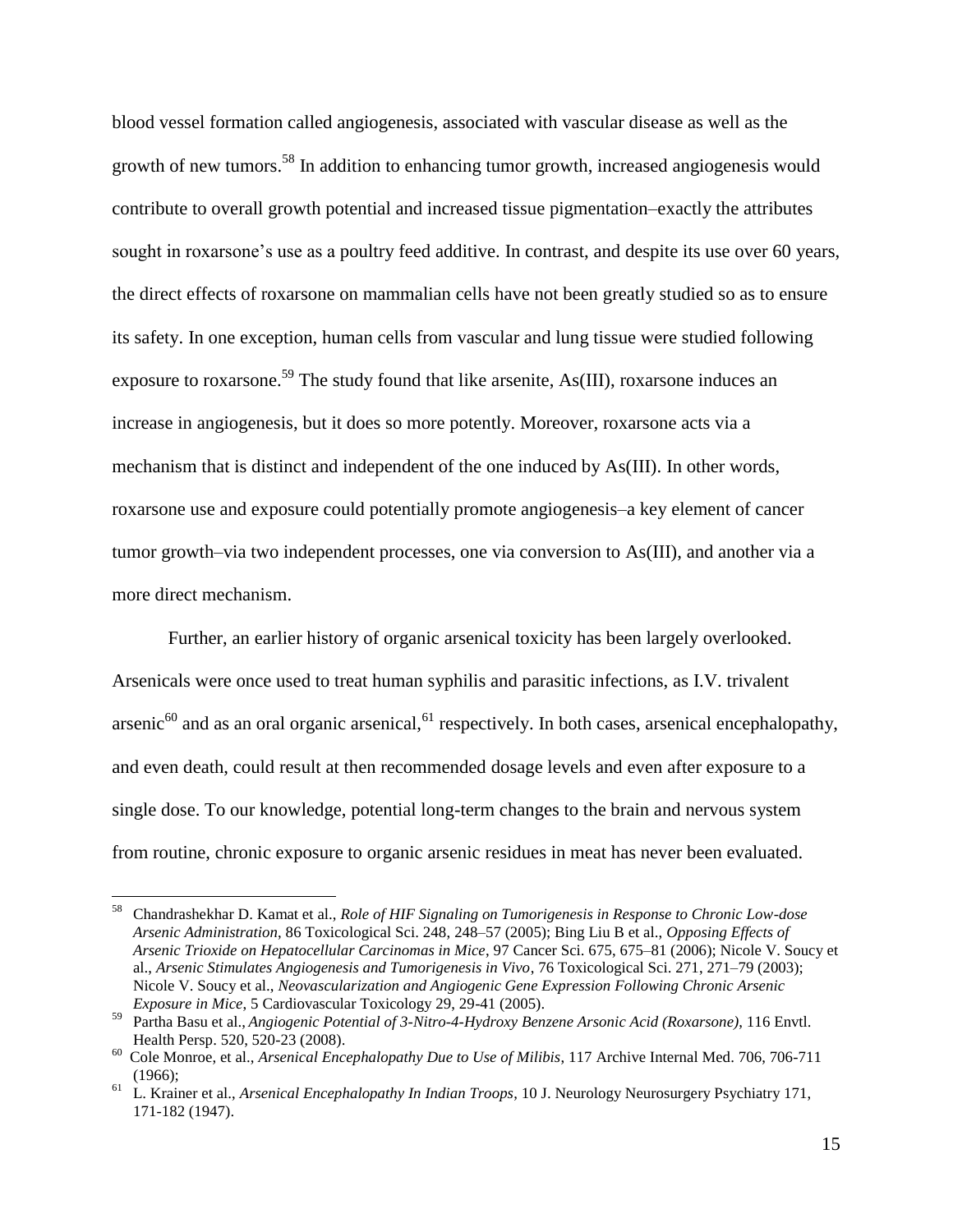blood vessel formation called angiogenesis, associated with vascular disease as well as the growth of new tumors.<sup>58</sup> In addition to enhancing tumor growth, increased angiogenesis would contribute to overall growth potential and increased tissue pigmentation–exactly the attributes sought in roxarsone's use as a poultry feed additive. In contrast, and despite its use over 60 years, the direct effects of roxarsone on mammalian cells have not been greatly studied so as to ensure its safety. In one exception, human cells from vascular and lung tissue were studied following exposure to roxarsone.<sup>59</sup> The study found that like arsenite, As(III), roxarsone induces an increase in angiogenesis, but it does so more potently. Moreover, roxarsone acts via a mechanism that is distinct and independent of the one induced by As(III). In other words, roxarsone use and exposure could potentially promote angiogenesis–a key element of cancer tumor growth–via two independent processes, one via conversion to As(III), and another via a more direct mechanism.

Further, an earlier history of organic arsenical toxicity has been largely overlooked. Arsenicals were once used to treat human syphilis and parasitic infections, as I.V. trivalent arsenic<sup>60</sup> and as an oral organic arsenical,<sup>61</sup> respectively. In both cases, arsenical encephalopathy, and even death, could result at then recommended dosage levels and even after exposure to a single dose. To our knowledge, potential long-term changes to the brain and nervous system from routine, chronic exposure to organic arsenic residues in meat has never been evaluated.

<sup>58</sup> Chandrashekhar D. Kamat et al., *Role of HIF Signaling on Tumorigenesis in Response to Chronic Low-dose Arsenic Administration*, 86 Toxicological Sci. 248, 248–57 (2005); Bing Liu B et al., *Opposing Effects of Arsenic Trioxide on Hepatocellular Carcinomas in Mice*, 97 Cancer Sci. 675, 675–81 (2006); Nicole V. Soucy et al., *Arsenic Stimulates Angiogenesis and Tumorigenesis in Vivo*, 76 Toxicological Sci. 271, 271–79 (2003); Nicole V. Soucy et al., *Neovascularization and Angiogenic Gene Expression Following Chronic Arsenic Exposure in Mice*, 5 Cardiovascular Toxicology 29, 29-41 (2005).

<sup>59</sup> Partha Basu et al., *Angiogenic Potential of 3-Nitro-4-Hydroxy Benzene Arsonic Acid (Roxarsone)*, 116 Envtl. Health Persp. 520, 520-23 (2008).

<sup>60</sup> Cole Monroe, et al., *Arsenical Encephalopathy Due to Use of Milibis*, 117 Archive Internal Med. 706, 706-711 (1966);

<sup>61</sup> L. Krainer et al., *Arsenical Encephalopathy In Indian Troops*, 10 J. Neurology Neurosurgery Psychiatry 171, 171-182 (1947).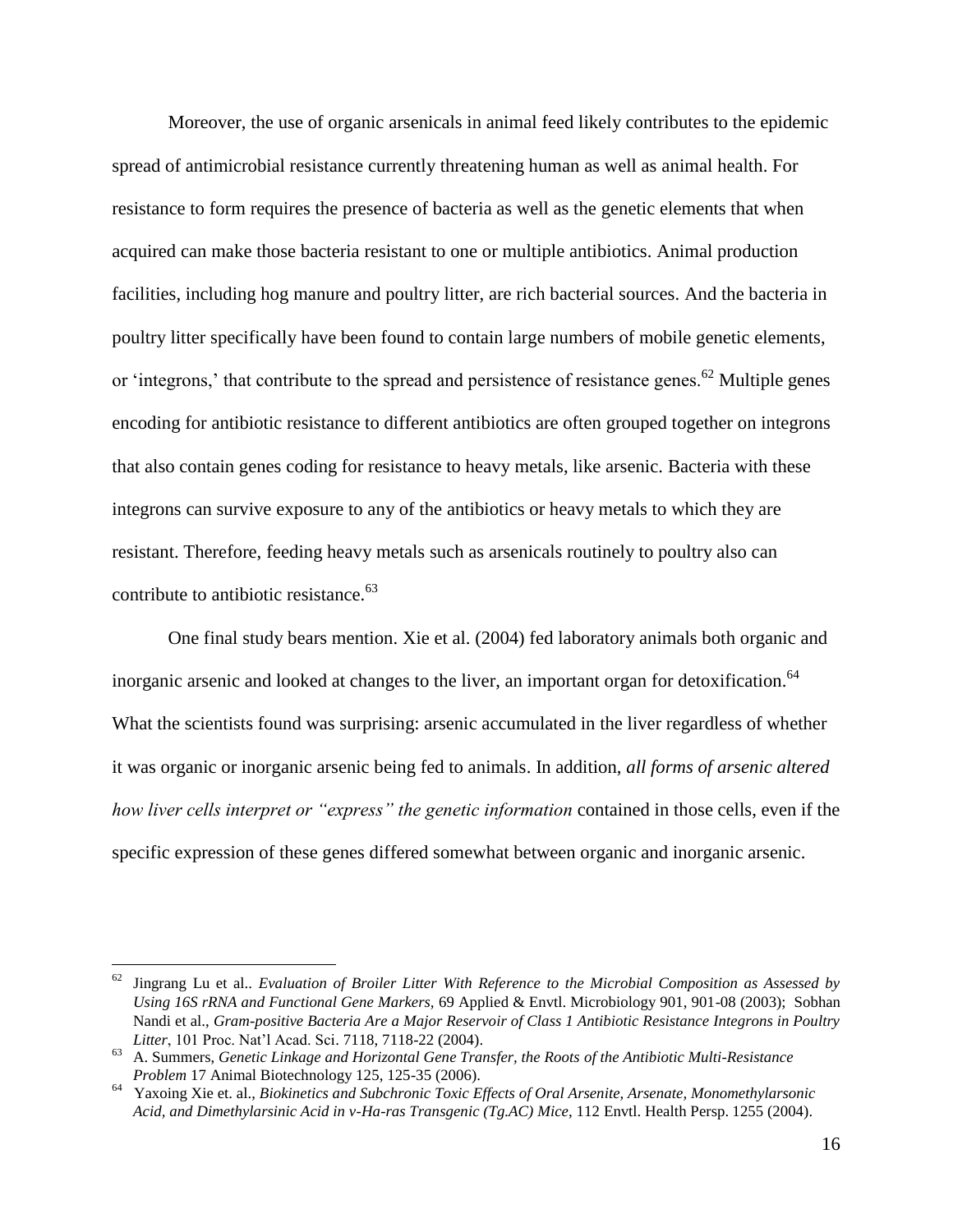Moreover, the use of organic arsenicals in animal feed likely contributes to the epidemic spread of antimicrobial resistance currently threatening human as well as animal health. For resistance to form requires the presence of bacteria as well as the genetic elements that when acquired can make those bacteria resistant to one or multiple antibiotics. Animal production facilities, including hog manure and poultry litter, are rich bacterial sources. And the bacteria in poultry litter specifically have been found to contain large numbers of mobile genetic elements, or 'integrons,' that contribute to the spread and persistence of resistance genes.<sup>62</sup> Multiple genes encoding for antibiotic resistance to different antibiotics are often grouped together on integrons that also contain genes coding for resistance to heavy metals, like arsenic. Bacteria with these integrons can survive exposure to any of the antibiotics or heavy metals to which they are resistant. Therefore, feeding heavy metals such as arsenicals routinely to poultry also can contribute to antibiotic resistance. $63$ 

One final study bears mention. Xie et al. (2004) fed laboratory animals both organic and inorganic arsenic and looked at changes to the liver, an important organ for detoxification.<sup>64</sup> What the scientists found was surprising: arsenic accumulated in the liver regardless of whether it was organic or inorganic arsenic being fed to animals. In addition, *all forms of arsenic altered how liver cells interpret or "express" the genetic information* contained in those cells, even if the specific expression of these genes differed somewhat between organic and inorganic arsenic.

<sup>62</sup> Jingrang Lu et al.. *Evaluation of Broiler Litter With Reference to the Microbial Composition as Assessed by Using 16S rRNA and Functional Gene Markers,* 69 Applied & Envtl. Microbiology 901, 901-08 (2003); Sobhan Nandi et al., *Gram-positive Bacteria Are a Major Reservoir of Class 1 Antibiotic Resistance Integrons in Poultry Litter*, 101 Proc. Nat"l Acad. Sci. 7118, 7118-22 (2004).

<sup>63</sup> A. Summers, *Genetic Linkage and Horizontal Gene Transfer, the Roots of the Antibiotic Multi-Resistance Problem* 17 Animal Biotechnology 125, 125-35 (2006).

<sup>64</sup> Yaxoing Xie et. al., *Biokinetics and Subchronic Toxic Effects of Oral Arsenite, Arsenate, Monomethylarsonic Acid, and Dimethylarsinic Acid in v-Ha-ras Transgenic (Tg.AC) Mice*, 112 Envtl. Health Persp. 1255 (2004).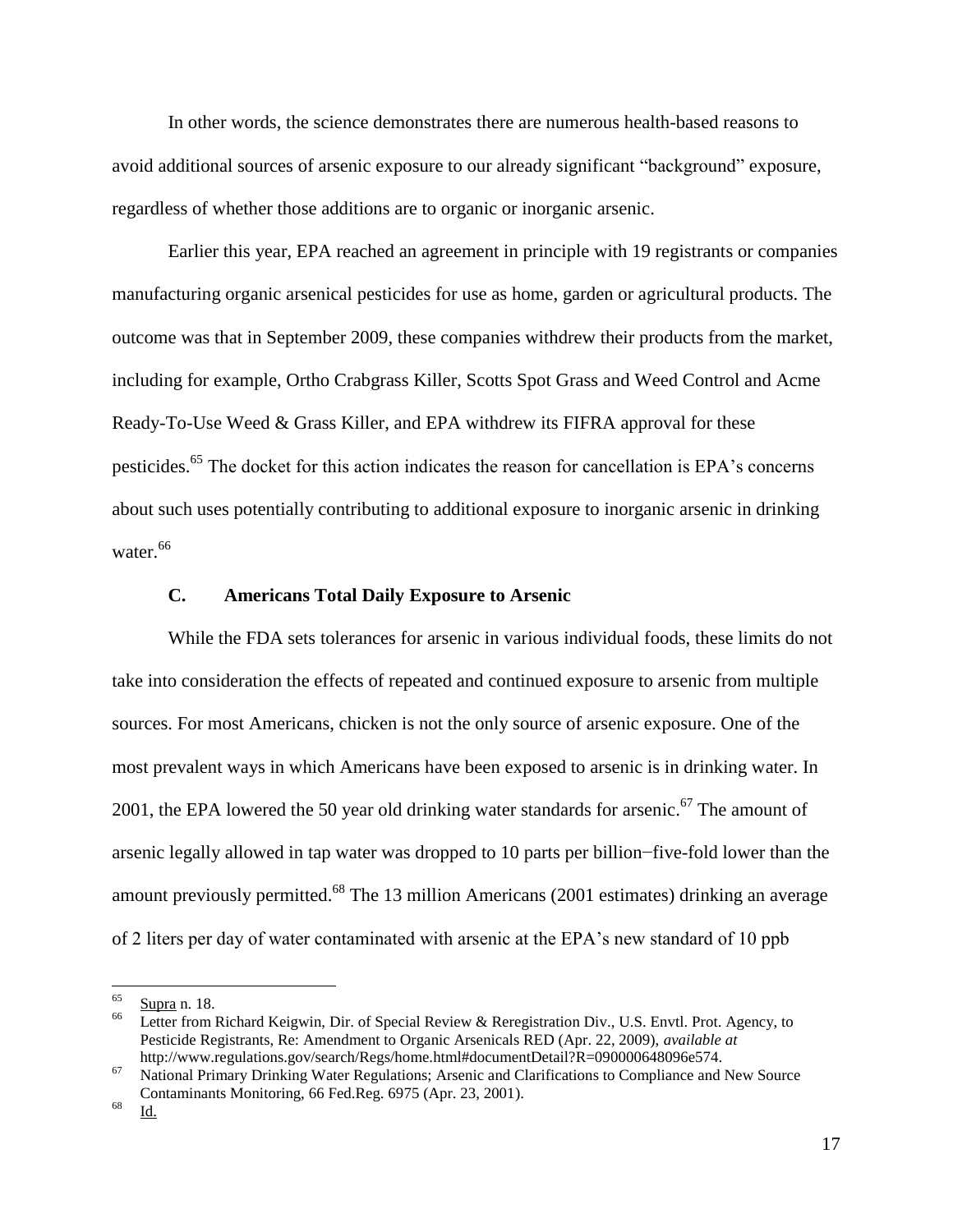In other words, the science demonstrates there are numerous health-based reasons to avoid additional sources of arsenic exposure to our already significant "background" exposure, regardless of whether those additions are to organic or inorganic arsenic.

Earlier this year, EPA reached an agreement in principle with 19 registrants or companies manufacturing organic arsenical pesticides for use as home, garden or agricultural products. The outcome was that in September 2009, these companies withdrew their products from the market, including for example, Ortho Crabgrass Killer, Scotts Spot Grass and Weed Control and Acme Ready-To-Use Weed & Grass Killer, and EPA withdrew its FIFRA approval for these pesticides.<sup>65</sup> The docket for this action indicates the reason for cancellation is EPA's concerns about such uses potentially contributing to additional exposure to inorganic arsenic in drinking water.<sup>66</sup>

#### **C. Americans Total Daily Exposure to Arsenic**

While the FDA sets tolerances for arsenic in various individual foods, these limits do not take into consideration the effects of repeated and continued exposure to arsenic from multiple sources. For most Americans, chicken is not the only source of arsenic exposure. One of the most prevalent ways in which Americans have been exposed to arsenic is in drinking water. In 2001, the EPA lowered the 50 year old drinking water standards for arsenic.<sup>67</sup> The amount of arsenic legally allowed in tap water was dropped to 10 parts per billion−five-fold lower than the amount previously permitted.<sup>68</sup> The 13 million Americans (2001 estimates) drinking an average of 2 liters per day of water contaminated with arsenic at the EPA"s new standard of 10 ppb

<sup>65</sup>  $rac{65}{66}$  Supra n. 18.

Letter from Richard Keigwin, Dir. of Special Review & Reregistration Div., U.S. Envtl. Prot. Agency, to Pesticide Registrants, Re: Amendment to Organic Arsenicals RED (Apr. 22, 2009), *available at* http://www.regulations.gov/search/Regs/home.html#documentDetail?R=090000648096e574.

<sup>67</sup> National Primary Drinking Water Regulations; Arsenic and Clarifications to Compliance and New Source Contaminants Monitoring, 66 Fed.Reg. 6975 (Apr. 23, 2001).

<sup>68</sup> Id.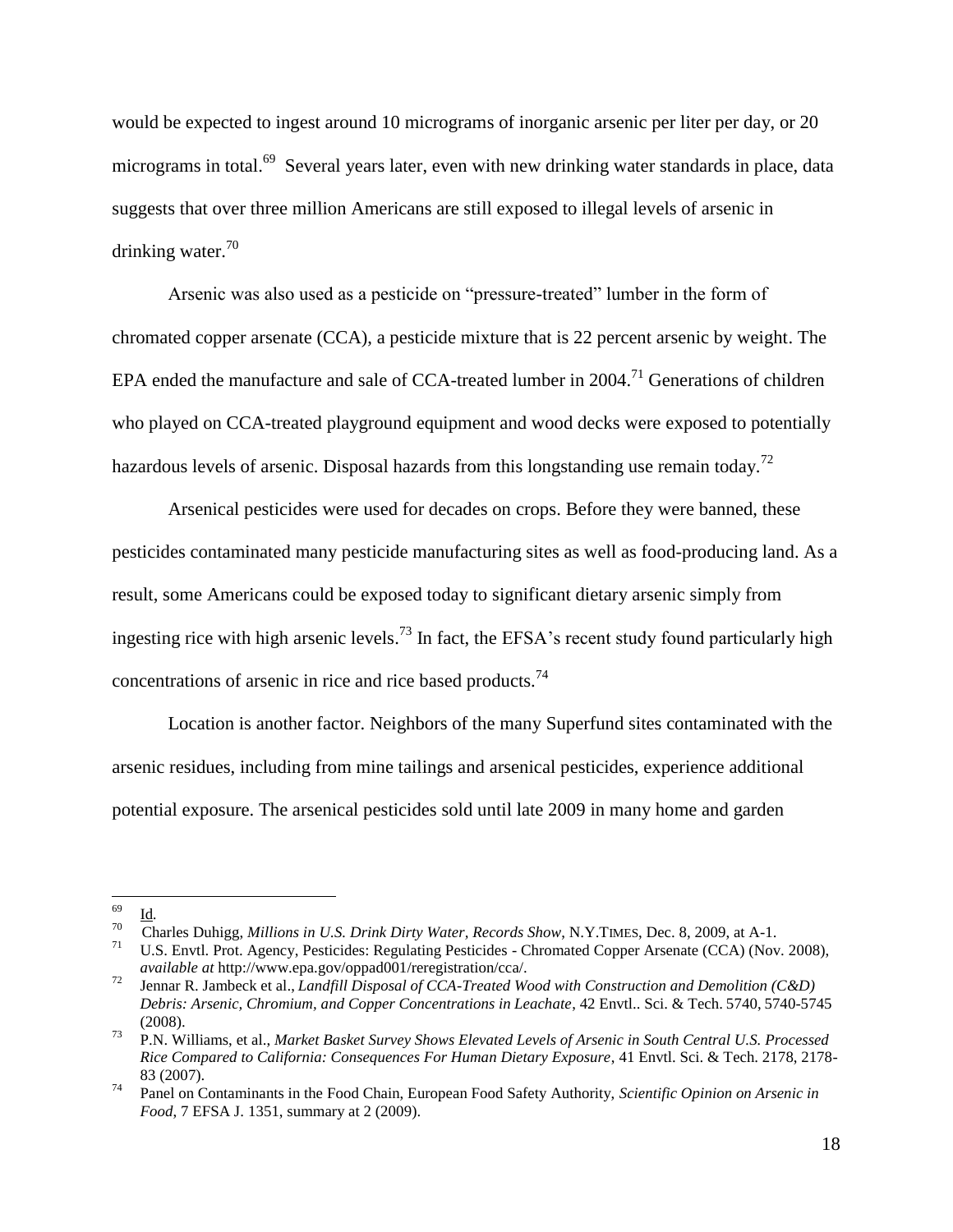would be expected to ingest around 10 micrograms of inorganic arsenic per liter per day, or 20 micrograms in total.<sup>69</sup> Several years later, even with new drinking water standards in place, data suggests that over three million Americans are still exposed to illegal levels of arsenic in drinking water.<sup>70</sup>

Arsenic was also used as a pesticide on "pressure-treated" lumber in the form of chromated copper arsenate (CCA), a pesticide mixture that is 22 percent arsenic by weight. The EPA ended the manufacture and sale of CCA-treated lumber in 2004.<sup>71</sup> Generations of children who played on CCA-treated playground equipment and wood decks were exposed to potentially hazardous levels of arsenic. Disposal hazards from this longstanding use remain today.<sup>72</sup>

Arsenical pesticides were used for decades on crops. Before they were banned, these pesticides contaminated many pesticide manufacturing sites as well as food-producing land. As a result, some Americans could be exposed today to significant dietary arsenic simply from ingesting rice with high arsenic levels.<sup>73</sup> In fact, the EFSA's recent study found particularly high concentrations of arsenic in rice and rice based products.<sup>74</sup>

Location is another factor. Neighbors of the many Superfund sites contaminated with the arsenic residues, including from mine tailings and arsenical pesticides, experience additional potential exposure. The arsenical pesticides sold until late 2009 in many home and garden

<sup>69</sup> <sup>69</sup> Id*.*

<sup>70</sup> <sup>70</sup> Charles Duhigg, *Millions in U.S. Drink Dirty Water, Records Show*, N.Y.TIMES, Dec. 8, 2009, at A-1.<br><sup>71</sup> U.S. Faxtl. Prot. Agency, Bestigides: Besulating Bestigides. Chromated Compan Agency (CCA) Nov

U.S. Envtl. Prot. Agency, Pesticides: Regulating Pesticides - Chromated Copper Arsenate (CCA) (Nov. 2008), *available at* http://www.epa.gov/oppad001/reregistration/cca/.

<sup>72</sup> Jennar R. Jambeck et al., *Landfill Disposal of CCA-Treated Wood with Construction and Demolition (C&D) Debris: Arsenic, Chromium, and Copper Concentrations in Leachate*, 42 Envtl.. Sci. & Tech. 5740, 5740-5745 (2008).

<sup>73</sup> P.N. Williams, et al., *Market Basket Survey Shows Elevated Levels of Arsenic in South Central U.S. Processed Rice Compared to California: Consequences For Human Dietary Exposure*, 41 Envtl. Sci. & Tech. 2178, 2178- 83 (2007).

<sup>74</sup> Panel on Contaminants in the Food Chain, European Food Safety Authority, *Scientific Opinion on Arsenic in Food*, 7 EFSA J. 1351, summary at 2 (2009).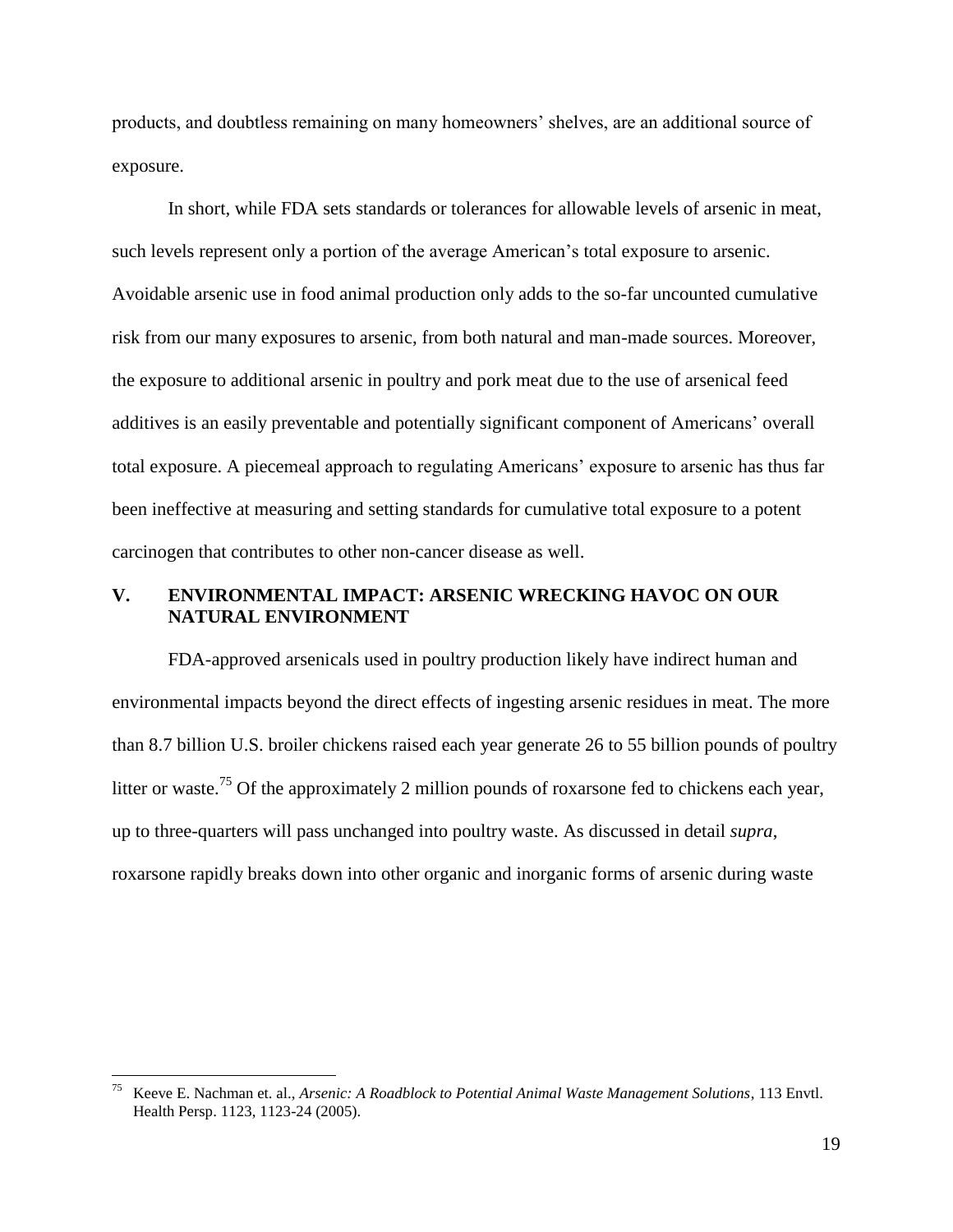products, and doubtless remaining on many homeowners" shelves, are an additional source of exposure.

In short, while FDA sets standards or tolerances for allowable levels of arsenic in meat, such levels represent only a portion of the average American"s total exposure to arsenic. Avoidable arsenic use in food animal production only adds to the so-far uncounted cumulative risk from our many exposures to arsenic, from both natural and man-made sources. Moreover, the exposure to additional arsenic in poultry and pork meat due to the use of arsenical feed additives is an easily preventable and potentially significant component of Americans" overall total exposure. A piecemeal approach to regulating Americans" exposure to arsenic has thus far been ineffective at measuring and setting standards for cumulative total exposure to a potent carcinogen that contributes to other non-cancer disease as well.

## **V. ENVIRONMENTAL IMPACT: ARSENIC WRECKING HAVOC ON OUR NATURAL ENVIRONMENT**

FDA-approved arsenicals used in poultry production likely have indirect human and environmental impacts beyond the direct effects of ingesting arsenic residues in meat. The more than 8.7 billion U.S. broiler chickens raised each year generate 26 to 55 billion pounds of poultry litter or waste.<sup>75</sup> Of the approximately 2 million pounds of roxarsone fed to chickens each year, up to three-quarters will pass unchanged into poultry waste. As discussed in detail *supra*, roxarsone rapidly breaks down into other organic and inorganic forms of arsenic during waste

<sup>75</sup> Keeve E. Nachman et. al., *Arsenic: A Roadblock to Potential Animal Waste Management Solutions*, 113 Envtl. Health Persp. 1123, 1123-24 (2005).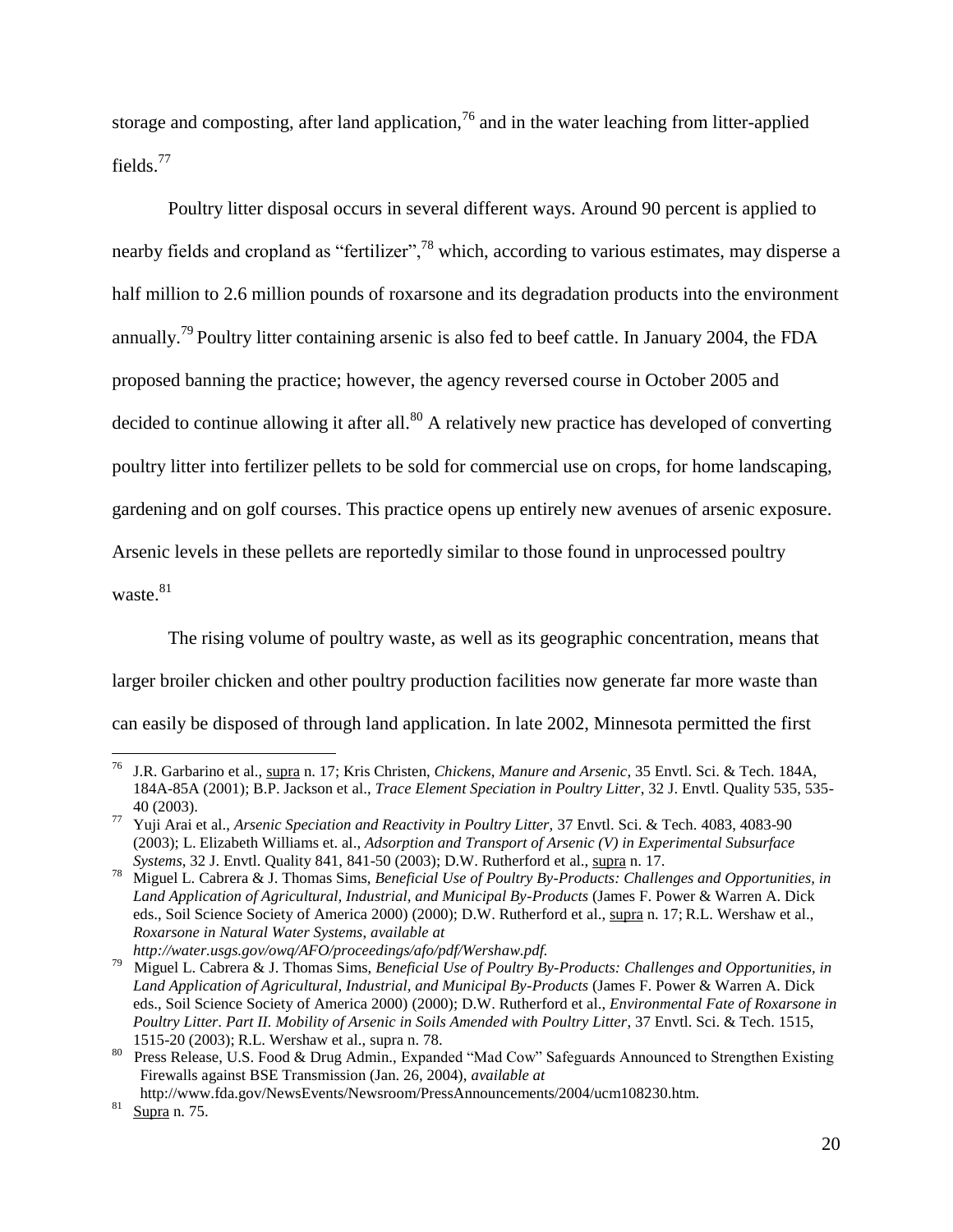storage and composting, after land application,<sup>76</sup> and in the water leaching from litter-applied fields.<sup>77</sup>

Poultry litter disposal occurs in several different ways. Around 90 percent is applied to nearby fields and cropland as "fertilizer",<sup>78</sup> which, according to various estimates, may disperse a half million to 2.6 million pounds of roxarsone and its degradation products into the environment annually.<sup>79</sup> Poultry litter containing arsenic is also fed to beef cattle. In January 2004, the FDA proposed banning the practice; however, the agency reversed course in October 2005 and decided to continue allowing it after all. $80$  A relatively new practice has developed of converting poultry litter into fertilizer pellets to be sold for commercial use on crops, for home landscaping, gardening and on golf courses. This practice opens up entirely new avenues of arsenic exposure. Arsenic levels in these pellets are reportedly similar to those found in unprocessed poultry waste.<sup>81</sup>

The rising volume of poultry waste, as well as its geographic concentration, means that larger broiler chicken and other poultry production facilities now generate far more waste than can easily be disposed of through land application. In late 2002, Minnesota permitted the first

http://www.fda.gov/NewsEvents/Newsroom/PressAnnouncements/2004/ucm108230.htm.

 $\overline{a}$ <sup>76</sup> J.R. Garbarino et al., supra n. 17; Kris Christen, *Chickens, Manure and Arsenic*, 35 Envtl. Sci. & Tech. 184A, 184A-85A (2001); B.P. Jackson et al., *Trace Element Speciation in Poultry Litter*, 32 J. Envtl. Quality 535, 535- 40 (2003).

<sup>77</sup> Yuji Arai et al., *Arsenic Speciation and Reactivity in Poultry Litter,* 37 Envtl. Sci. & Tech. 4083, 4083-90 (2003); L. Elizabeth Williams et. al., *Adsorption and Transport of Arsenic (V) in Experimental Subsurface Systems*, 32 J. Envtl. Quality 841, 841-50 (2003); D.W. Rutherford et al., supra n. 17.

<sup>78</sup> Miguel L. Cabrera & J. Thomas Sims, *Beneficial Use of Poultry By-Products: Challenges and Opportunities, in Land Application of Agricultural, Industrial, and Municipal By-Products* (James F. Power & Warren A. Dick eds., Soil Science Society of America 2000) (2000); D.W. Rutherford et al., supra n. 17; R.L. Wershaw et al., *Roxarsone in Natural Water Systems*, *available at http://water.usgs.gov/owq/AFO/proceedings/afo/pdf/Wershaw.pdf.*

<sup>79</sup> Miguel L. Cabrera & J. Thomas Sims, *Beneficial Use of Poultry By-Products: Challenges and Opportunities, in Land Application of Agricultural, Industrial, and Municipal By-Products* (James F. Power & Warren A. Dick eds., Soil Science Society of America 2000) (2000); D.W. Rutherford et al., *Environmental Fate of Roxarsone in Poultry Litter*. *Part II. Mobility of Arsenic in Soils Amended with Poultry Litter*, 37 Envtl. Sci. & Tech. 1515, 1515-20 (2003); R.L. Wershaw et al., supra n. 78.

<sup>&</sup>lt;sup>80</sup> Press Release, U.S. Food & Drug Admin., Expanded "Mad Cow" Safeguards Announced to Strengthen Existing Firewalls against BSE Transmission (Jan. 26, 2004), *available at*

 $81$  Supra n. 75.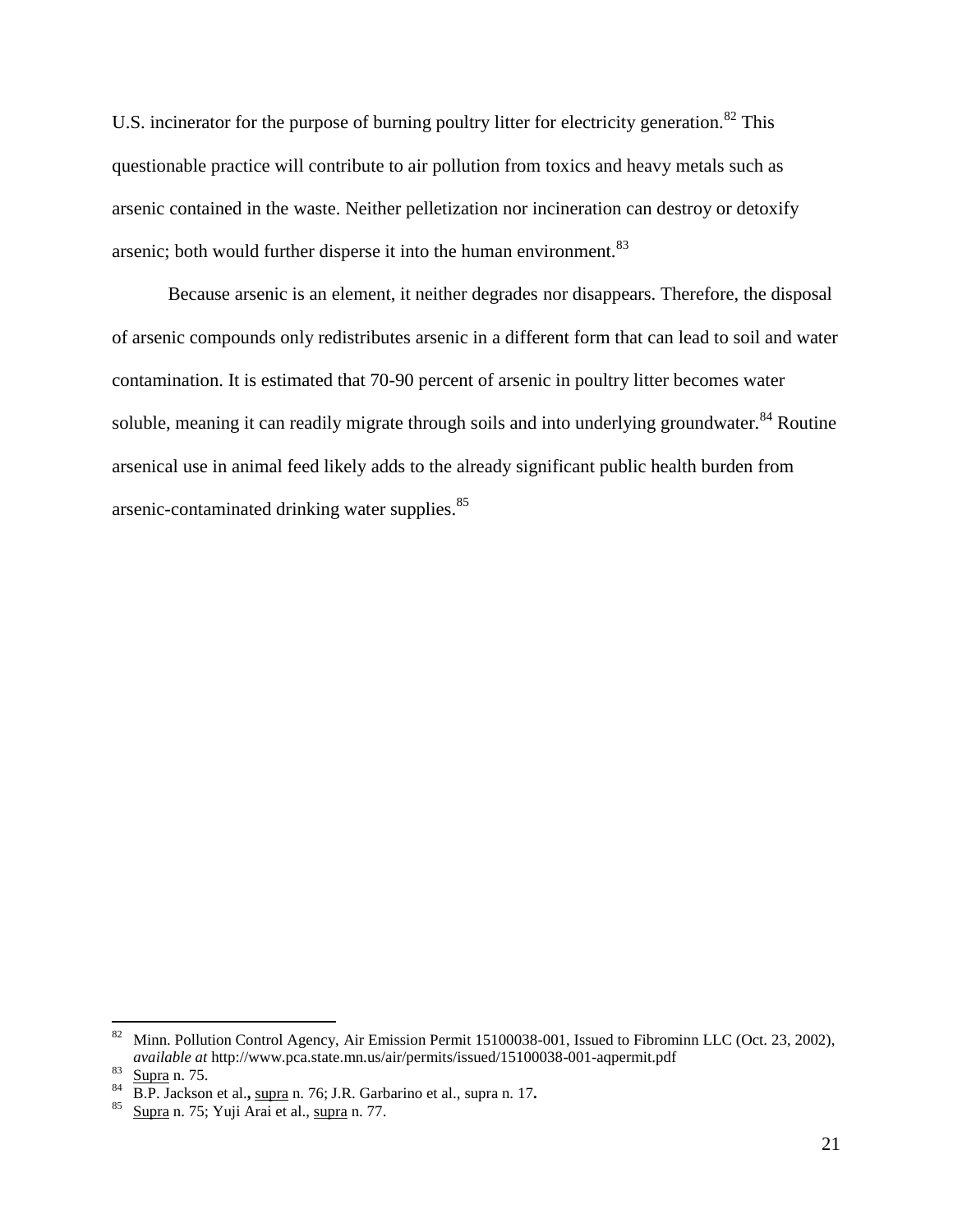U.S. incinerator for the purpose of burning poultry litter for electricity generation.<sup>82</sup> This questionable practice will contribute to air pollution from toxics and heavy metals such as arsenic contained in the waste. Neither pelletization nor incineration can destroy or detoxify arsenic; both would further disperse it into the human environment.<sup>83</sup>

Because arsenic is an element, it neither degrades nor disappears. Therefore, the disposal of arsenic compounds only redistributes arsenic in a different form that can lead to soil and water contamination. It is estimated that 70-90 percent of arsenic in poultry litter becomes water soluble, meaning it can readily migrate through soils and into underlying groundwater.<sup>84</sup> Routine arsenical use in animal feed likely adds to the already significant public health burden from arsenic-contaminated drinking water supplies.<sup>85</sup>

 $82$  Minn. Pollution Control Agency, Air Emission Permit 15100038-001, Issued to Fibrominn LLC (Oct. 23, 2002), *available at* http://www.pca.state.mn.us/air/permits/issued/15100038-001-aqpermit.pdf

<sup>83</sup> Supra n. 75.

 $\frac{84}{B}$  B.P. Jackson et al., supra n. 76; J.R. Garbarino et al., supra n. 17.

Supra n. 75; Yuji Arai et al., supra n. 77.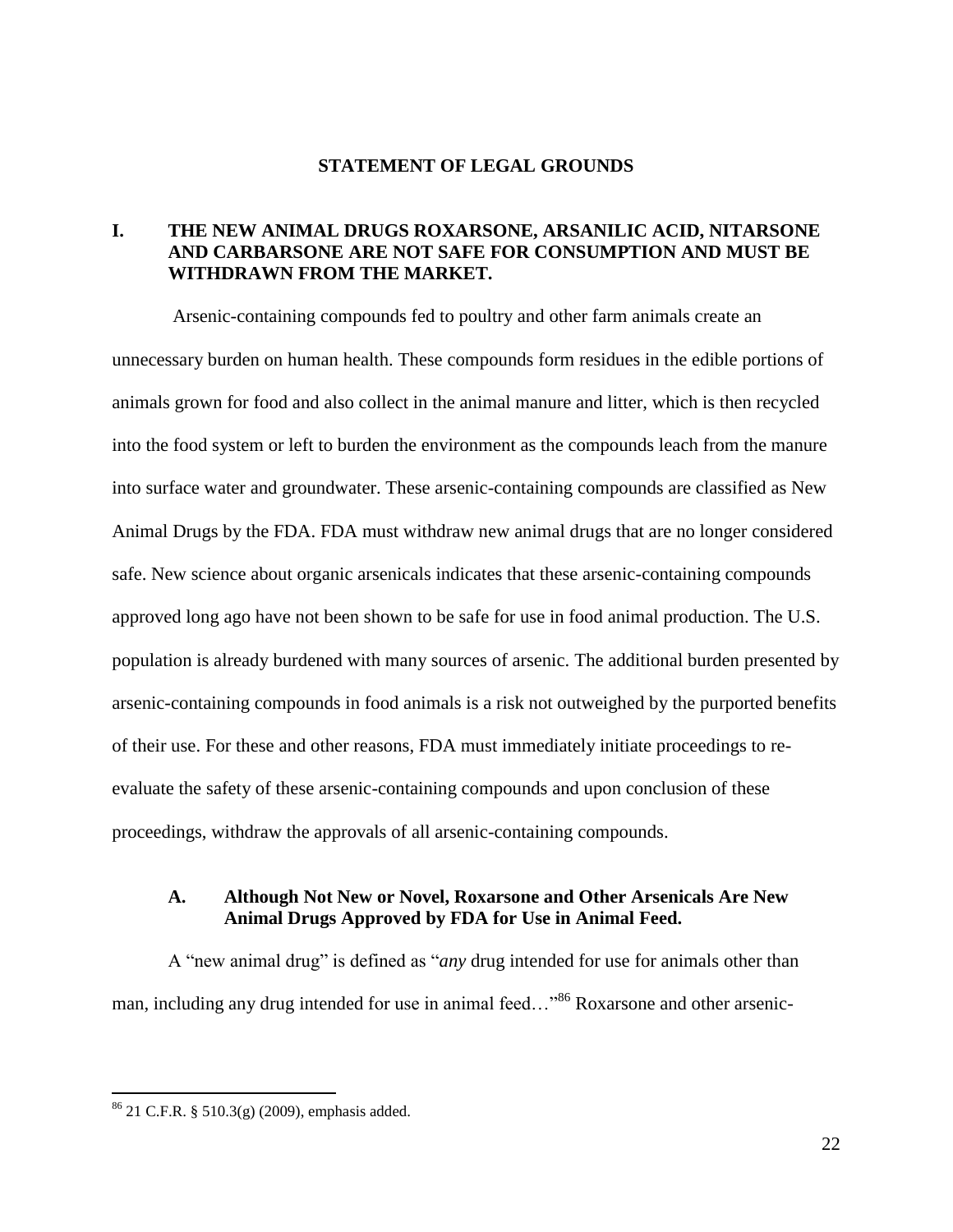### **STATEMENT OF LEGAL GROUNDS**

## **I. THE NEW ANIMAL DRUGS ROXARSONE, ARSANILIC ACID, NITARSONE AND CARBARSONE ARE NOT SAFE FOR CONSUMPTION AND MUST BE WITHDRAWN FROM THE MARKET.**

Arsenic-containing compounds fed to poultry and other farm animals create an unnecessary burden on human health. These compounds form residues in the edible portions of animals grown for food and also collect in the animal manure and litter, which is then recycled into the food system or left to burden the environment as the compounds leach from the manure into surface water and groundwater. These arsenic-containing compounds are classified as New Animal Drugs by the FDA. FDA must withdraw new animal drugs that are no longer considered safe. New science about organic arsenicals indicates that these arsenic-containing compounds approved long ago have not been shown to be safe for use in food animal production. The U.S. population is already burdened with many sources of arsenic. The additional burden presented by arsenic-containing compounds in food animals is a risk not outweighed by the purported benefits of their use. For these and other reasons, FDA must immediately initiate proceedings to reevaluate the safety of these arsenic-containing compounds and upon conclusion of these proceedings, withdraw the approvals of all arsenic-containing compounds.

## **A. Although Not New or Novel, Roxarsone and Other Arsenicals Are New Animal Drugs Approved by FDA for Use in Animal Feed.**

A "new animal drug" is defined as "*any* drug intended for use for animals other than man, including any drug intended for use in animal feed..."<sup>86</sup> Roxarsone and other arsenic-

<sup>86</sup> 21 C.F.R. § 510.3(g) (2009), emphasis added.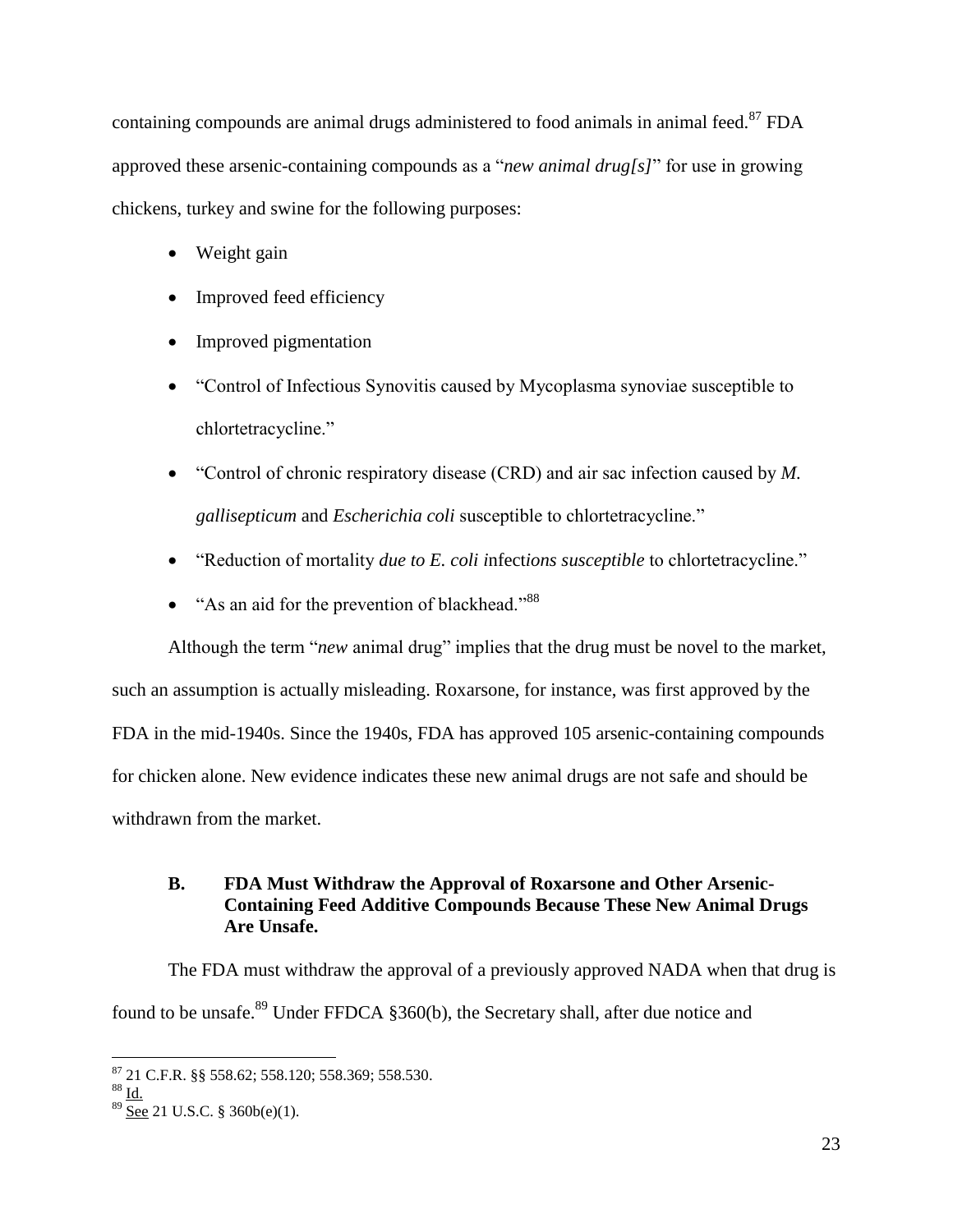containing compounds are animal drugs administered to food animals in animal feed.<sup>87</sup> FDA approved these arsenic-containing compounds as a "*new animal drug[s]*" for use in growing chickens, turkey and swine for the following purposes:

- Weight gain
- Improved feed efficiency
- Improved pigmentation
- "Control of Infectious Synovitis caused by Mycoplasma synoviae susceptible to chlortetracycline."
- "Control of chronic respiratory disease (CRD) and air sac infection caused by *M. gallisepticum* and *Escherichia coli* susceptible to chlortetracycline."
- "Reduction of mortality *due to E. coli i*nfect*ions susceptible* to chlortetracycline."
- "As an aid for the prevention of blackhead."<sup>88</sup>

Although the term "*new* animal drug" implies that the drug must be novel to the market, such an assumption is actually misleading. Roxarsone, for instance, was first approved by the FDA in the mid-1940s. Since the 1940s, FDA has approved 105 arsenic-containing compounds for chicken alone. New evidence indicates these new animal drugs are not safe and should be withdrawn from the market.

## **B. FDA Must Withdraw the Approval of Roxarsone and Other Arsenic-Containing Feed Additive Compounds Because These New Animal Drugs Are Unsafe.**

The FDA must withdraw the approval of a previously approved NADA when that drug is found to be unsafe.<sup>89</sup> Under FFDCA §360(b), the Secretary shall, after due notice and

 $\overline{a}$ <sup>87</sup> 21 C.F.R. §§ 558.62; 558.120; 558.369; 558.530.

 $88 \underline{\text{Id}}$ .

 $89$  See 21 U.S.C. § 360b(e)(1).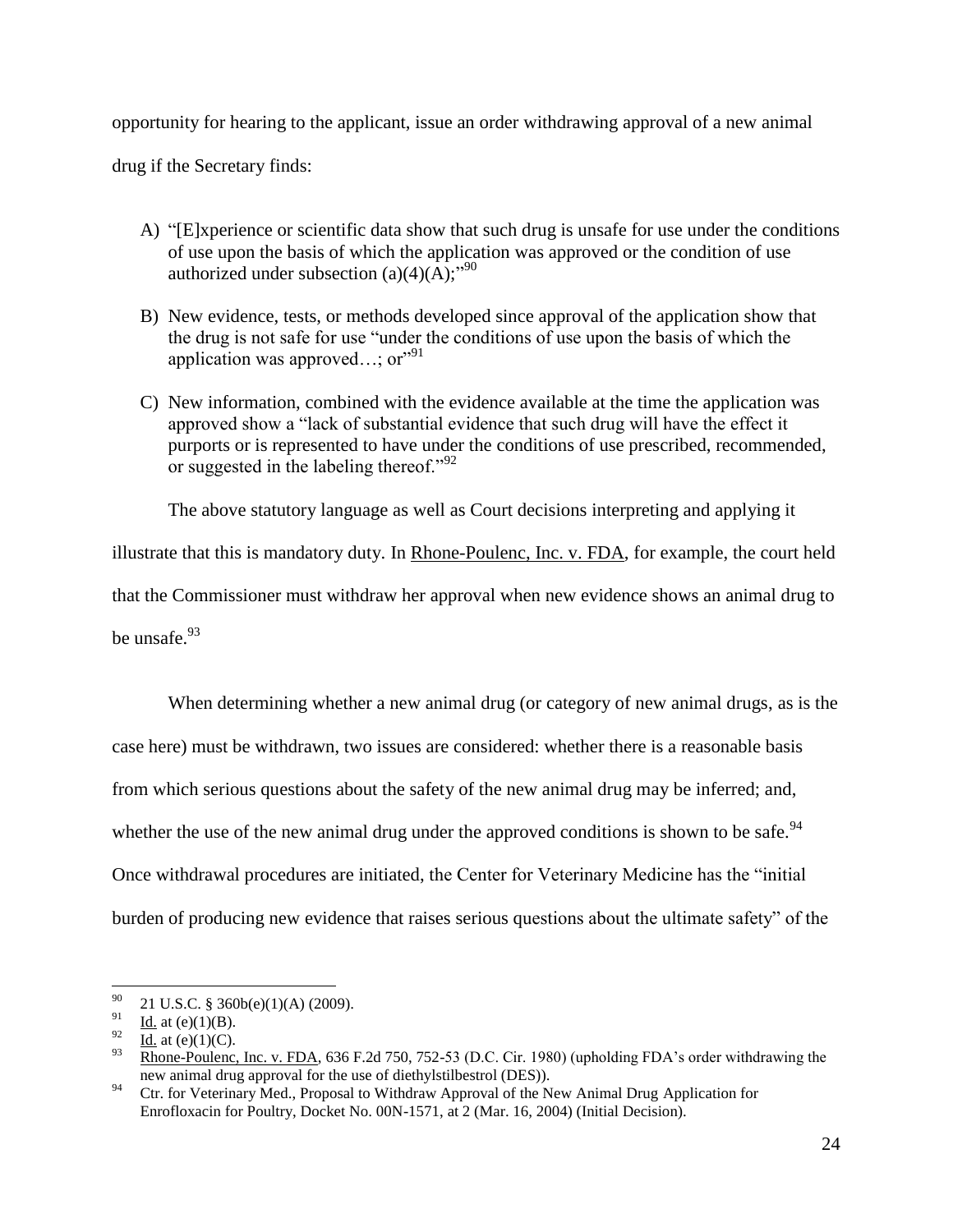opportunity for hearing to the applicant, issue an order withdrawing approval of a new animal

drug if the Secretary finds:

- A) "[E]xperience or scientific data show that such drug is unsafe for use under the conditions of use upon the basis of which the application was approved or the condition of use authorized under subsection  $(a)(4)(\overline{A})$ ;<sup>190</sup>
- B) New evidence, tests, or methods developed since approval of the application show that the drug is not safe for use "under the conditions of use upon the basis of which the application was approved...; or"<sup>91</sup>
- C) New information, combined with the evidence available at the time the application was approved show a "lack of substantial evidence that such drug will have the effect it purports or is represented to have under the conditions of use prescribed, recommended, or suggested in the labeling thereof."<sup>92</sup>

The above statutory language as well as Court decisions interpreting and applying it

illustrate that this is mandatory duty. In Rhone-Poulenc, Inc. v. FDA, for example, the court held

that the Commissioner must withdraw her approval when new evidence shows an animal drug to be unsafe $^{93}$ 

When determining whether a new animal drug (or category of new animal drugs, as is the case here) must be withdrawn, two issues are considered: whether there is a reasonable basis from which serious questions about the safety of the new animal drug may be inferred; and, whether the use of the new animal drug under the approved conditions is shown to be safe.  $94$ Once withdrawal procedures are initiated, the Center for Veterinary Medicine has the "initial burden of producing new evidence that raises serious questions about the ultimate safety" of the

<sup>90</sup>  $^{90}$  21 U.S.C. § 360b(e)(1)(A) (2009).

 $\frac{91}{92}$  Id. at (e)(1)(B).

 $rac{92}{93}$  Id. at (e)(1)(C).

<sup>93</sup> Rhone-Poulenc, Inc. v. FDA, 636 F.2d 750, 752-53 (D.C. Cir. 1980) (upholding FDA"s order withdrawing the new animal drug approval for the use of diethylstilbestrol (DES)).

<sup>&</sup>lt;sup>94</sup> Ctr. for Veterinary Med., Proposal to Withdraw Approval of the New Animal Drug Application for Enrofloxacin for Poultry, Docket No. 00N-1571, at 2 (Mar. 16, 2004) (Initial Decision).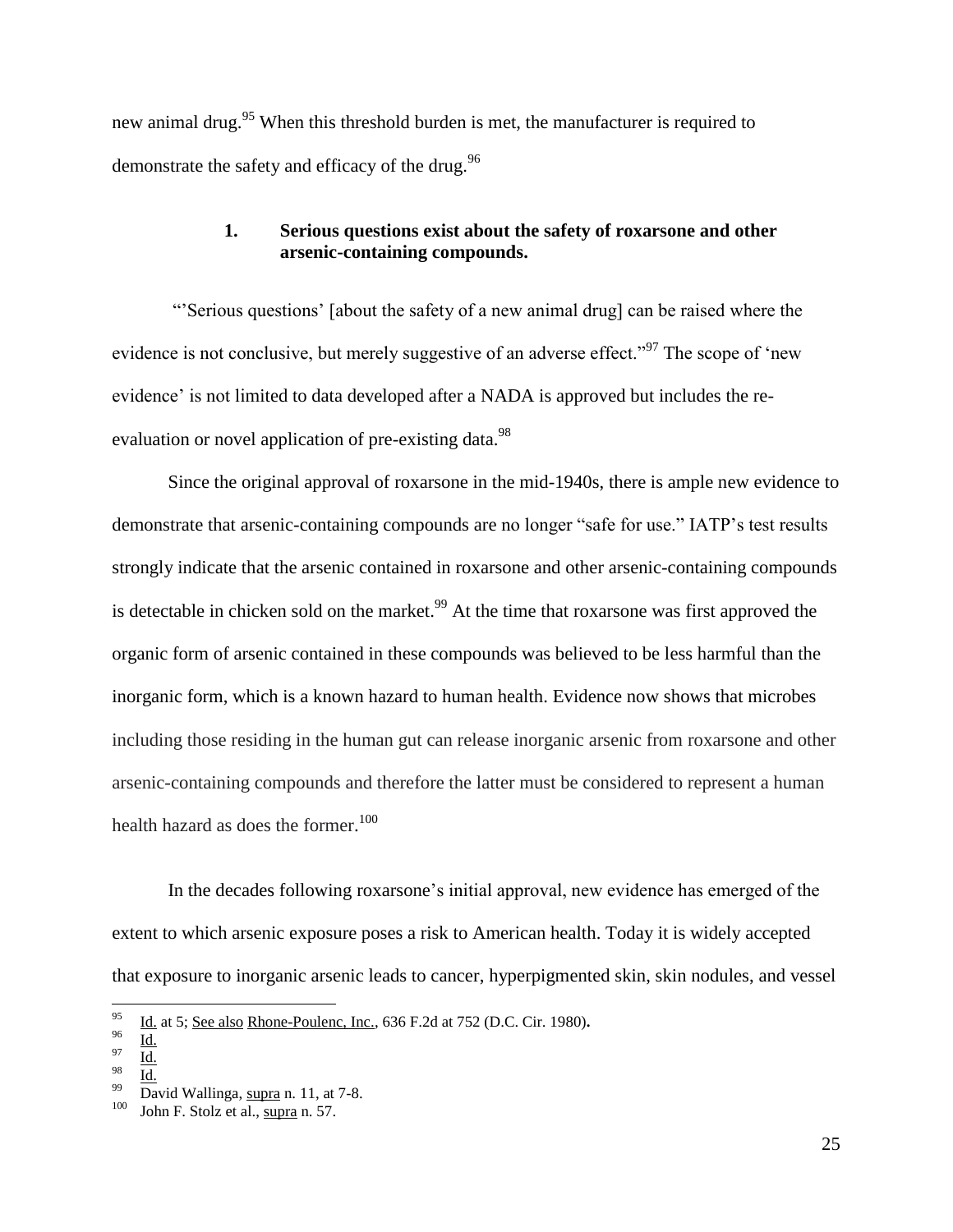new animal drug.<sup>95</sup> When this threshold burden is met, the manufacturer is required to demonstrate the safety and efficacy of the drug. $96$ 

## **1. Serious questions exist about the safety of roxarsone and other arsenic-containing compounds.**

""Serious questions" [about the safety of a new animal drug] can be raised where the evidence is not conclusive, but merely suggestive of an adverse effect."<sup>97</sup> The scope of 'new evidence' is not limited to data developed after a NADA is approved but includes the reevaluation or novel application of pre-existing data.<sup>98</sup>

Since the original approval of roxarsone in the mid-1940s, there is ample new evidence to demonstrate that arsenic-containing compounds are no longer "safe for use." IATP"s test results strongly indicate that the arsenic contained in roxarsone and other arsenic-containing compounds is detectable in chicken sold on the market.<sup>99</sup> At the time that roxarsone was first approved the organic form of arsenic contained in these compounds was believed to be less harmful than the inorganic form, which is a known hazard to human health. Evidence now shows that microbes including those residing in the human gut can release inorganic arsenic from roxarsone and other arsenic-containing compounds and therefore the latter must be considered to represent a human health hazard as does the former. 100

In the decades following roxarsone's initial approval, new evidence has emerged of the extent to which arsenic exposure poses a risk to American health. Today it is widely accepted that exposure to inorganic arsenic leads to cancer, hyperpigmented skin, skin nodules, and vessel

<sup>95</sup> <sup>95</sup> Id. at 5; See also Rhone-Poulenc, Inc., 636 F.2d at 752 (D.C. Cir. 1980)**.**

 $rac{96}{97}$   $\frac{Id.}{11}$ 

 $rac{97}{98}$  Id.

 $\frac{98}{99}$   $\frac{Id.}{D.}$ 

David Wallinga, supra n. 11, at 7-8.

<sup>100</sup> John F. Stolz et al., supra n. 57.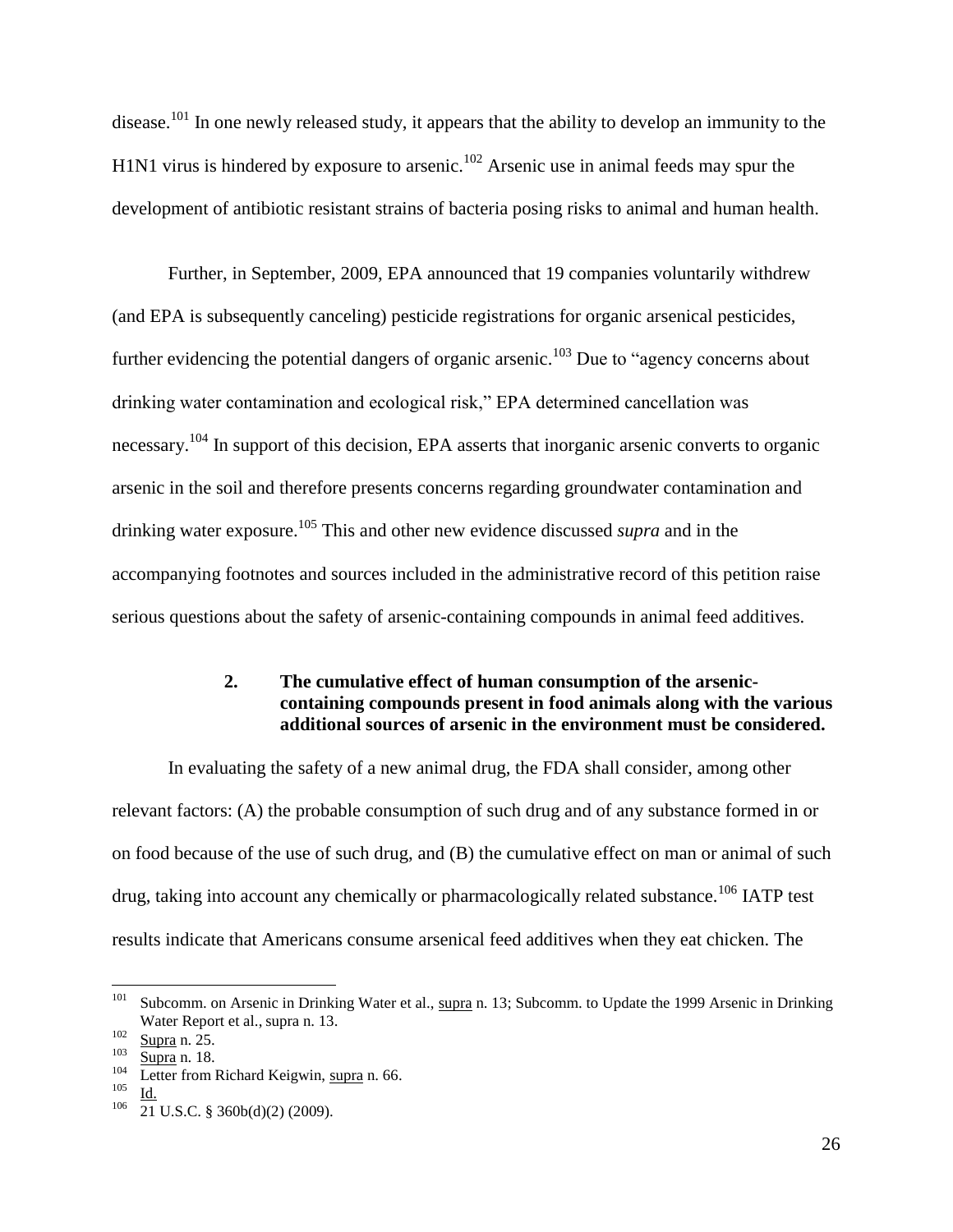disease.<sup>101</sup> In one newly released study, it appears that the ability to develop an immunity to the H1N1 virus is hindered by exposure to arsenic.<sup>102</sup> Arsenic use in animal feeds may spur the development of antibiotic resistant strains of bacteria posing risks to animal and human health.

Further, in September, 2009, EPA announced that 19 companies voluntarily withdrew (and EPA is subsequently canceling) pesticide registrations for organic arsenical pesticides, further evidencing the potential dangers of organic arsenic.<sup>103</sup> Due to "agency concerns about drinking water contamination and ecological risk," EPA determined cancellation was necessary.<sup>104</sup> In support of this decision, EPA asserts that inorganic arsenic converts to organic arsenic in the soil and therefore presents concerns regarding groundwater contamination and drinking water exposure.<sup>105</sup> This and other new evidence discussed *supra* and in the accompanying footnotes and sources included in the administrative record of this petition raise serious questions about the safety of arsenic-containing compounds in animal feed additives.

### **2. The cumulative effect of human consumption of the arseniccontaining compounds present in food animals along with the various additional sources of arsenic in the environment must be considered.**

In evaluating the safety of a new animal drug, the FDA shall consider, among other relevant factors: (A) the probable consumption of such drug and of any substance formed in or on food because of the use of such drug, and (B) the cumulative effect on man or animal of such drug, taking into account any chemically or pharmacologically related substance.<sup>106</sup> IATP test results indicate that Americans consume arsenical feed additives when they eat chicken. The

 101 Subcomm. on Arsenic in Drinking Water et al., supra n. 13; Subcomm. to Update the 1999 Arsenic in Drinking Water Report et al., supra n. 13.

<sup>102</sup>  $\frac{102}{103}$  Supra n. 25.

 $\frac{103}{104}$  Supra n. 18.

<sup>&</sup>lt;sup>104</sup> Letter from Richard Keigwin, supra n. 66.<br> $\frac{105}{14}$ 

 $\frac{105}{106}$   $\frac{Id.}{21}$ 

<sup>21</sup> U.S.C. § 360b(d)(2) (2009).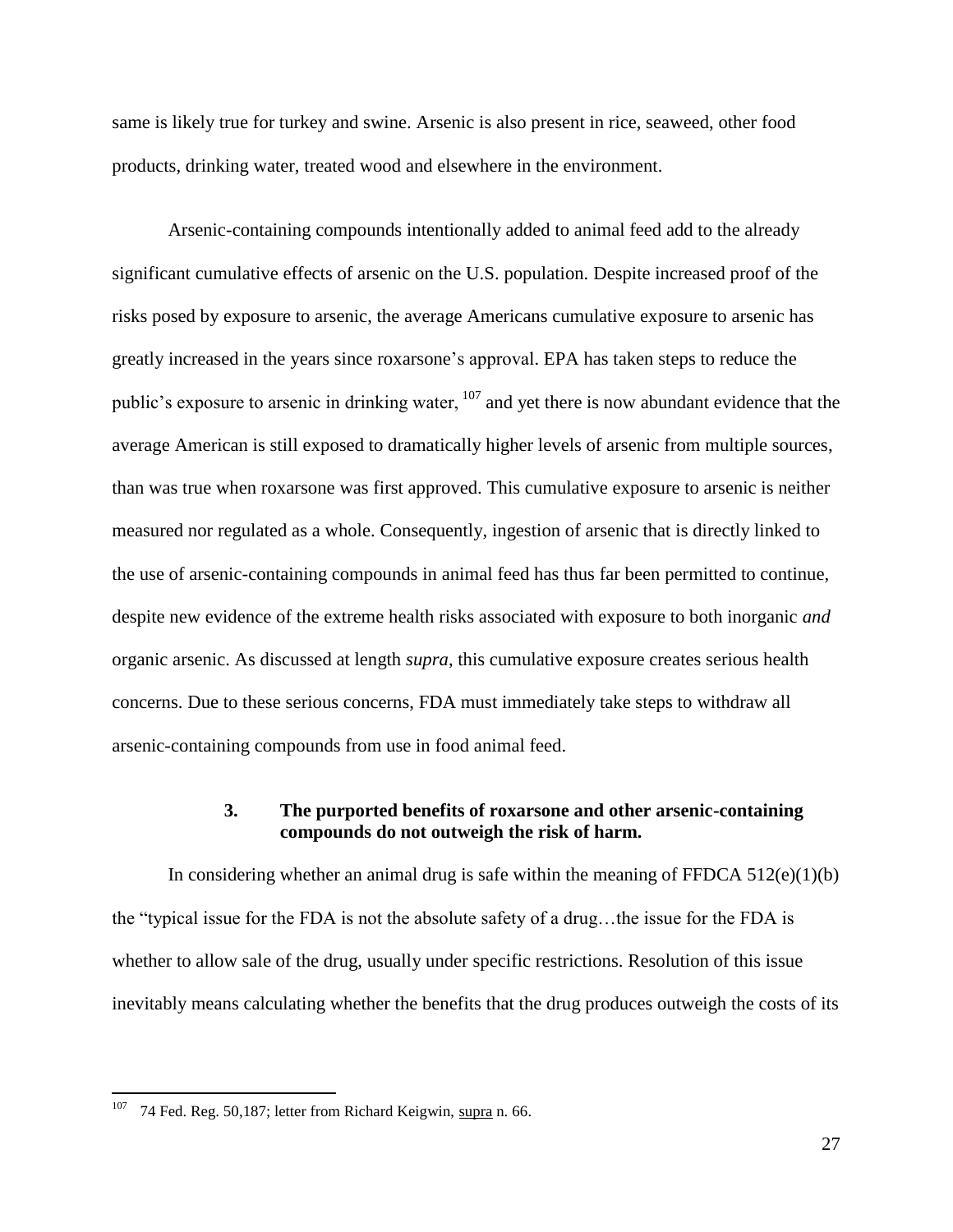same is likely true for turkey and swine. Arsenic is also present in rice, seaweed, other food products, drinking water, treated wood and elsewhere in the environment.

Arsenic-containing compounds intentionally added to animal feed add to the already significant cumulative effects of arsenic on the U.S. population. Despite increased proof of the risks posed by exposure to arsenic, the average Americans cumulative exposure to arsenic has greatly increased in the years since roxarsone"s approval. EPA has taken steps to reduce the public's exposure to arsenic in drinking water,  $107$  and yet there is now abundant evidence that the average American is still exposed to dramatically higher levels of arsenic from multiple sources, than was true when roxarsone was first approved. This cumulative exposure to arsenic is neither measured nor regulated as a whole. Consequently, ingestion of arsenic that is directly linked to the use of arsenic-containing compounds in animal feed has thus far been permitted to continue, despite new evidence of the extreme health risks associated with exposure to both inorganic *and* organic arsenic. As discussed at length *supra*, this cumulative exposure creates serious health concerns. Due to these serious concerns, FDA must immediately take steps to withdraw all arsenic-containing compounds from use in food animal feed.

### **3. The purported benefits of roxarsone and other arsenic-containing compounds do not outweigh the risk of harm.**

In considering whether an animal drug is safe within the meaning of FFDCA  $512(e)(1)(b)$ the "typical issue for the FDA is not the absolute safety of a drug…the issue for the FDA is whether to allow sale of the drug, usually under specific restrictions. Resolution of this issue inevitably means calculating whether the benefits that the drug produces outweigh the costs of its

 $107$  74 Fed. Reg. 50,187; letter from Richard Keigwin, supra n. 66.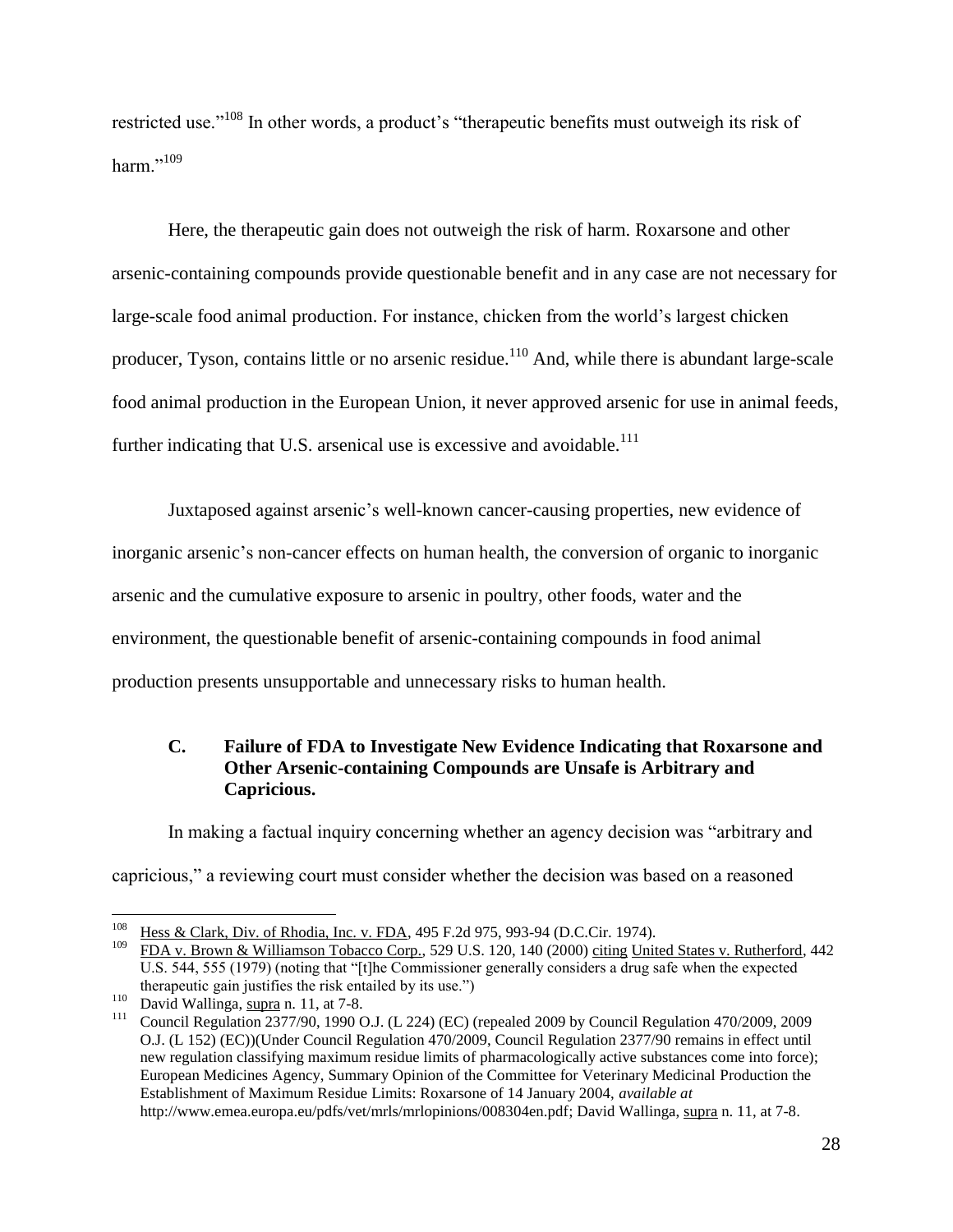restricted use."<sup>108</sup> In other words, a product's "therapeutic benefits must outweigh its risk of harm<sup>",109</sup>

Here, the therapeutic gain does not outweigh the risk of harm. Roxarsone and other arsenic-containing compounds provide questionable benefit and in any case are not necessary for large-scale food animal production. For instance, chicken from the world"s largest chicken producer, Tyson, contains little or no arsenic residue.<sup>110</sup> And, while there is abundant large-scale food animal production in the European Union, it never approved arsenic for use in animal feeds, further indicating that U.S. arsenical use is excessive and avoidable.<sup>111</sup>

Juxtaposed against arsenic"s well-known cancer-causing properties, new evidence of inorganic arsenic's non-cancer effects on human health, the conversion of organic to inorganic arsenic and the cumulative exposure to arsenic in poultry, other foods, water and the environment, the questionable benefit of arsenic-containing compounds in food animal production presents unsupportable and unnecessary risks to human health.

## **C. Failure of FDA to Investigate New Evidence Indicating that Roxarsone and Other Arsenic-containing Compounds are Unsafe is Arbitrary and Capricious.**

In making a factual inquiry concerning whether an agency decision was "arbitrary and capricious," a reviewing court must consider whether the decision was based on a reasoned

 $\overline{a}$ <sup>108</sup> Hess & Clark, Div. of Rhodia, Inc. v. FDA, 495 F.2d 975, 993-94 (D.C.Cir. 1974).

FDA v. Brown & Williamson Tobacco Corp., 529 U.S. 120, 140 (2000) citing United States v. Rutherford, 442 U.S. 544, 555 (1979) (noting that "[t]he Commissioner generally considers a drug safe when the expected therapeutic gain justifies the risk entailed by its use.")

 $\frac{110}{111}$  David Wallinga,  $\frac{\text{supra}}{2377/00}$  1000 C

<sup>111</sup> Council Regulation 2377/90, 1990 O.J. (L 224) (EC) (repealed 2009 by Council Regulation 470/2009, 2009 O.J. (L 152) (EC))(Under Council Regulation 470/2009, Council Regulation 2377/90 remains in effect until new regulation classifying maximum residue limits of pharmacologically active substances come into force); European Medicines Agency, Summary Opinion of the Committee for Veterinary Medicinal Production the Establishment of Maximum Residue Limits: Roxarsone of 14 January 2004, *available at*  http://www.emea.europa.eu/pdfs/vet/mrls/mrlopinions/008304en.pdf; David Wallinga, supra n. 11, at 7-8.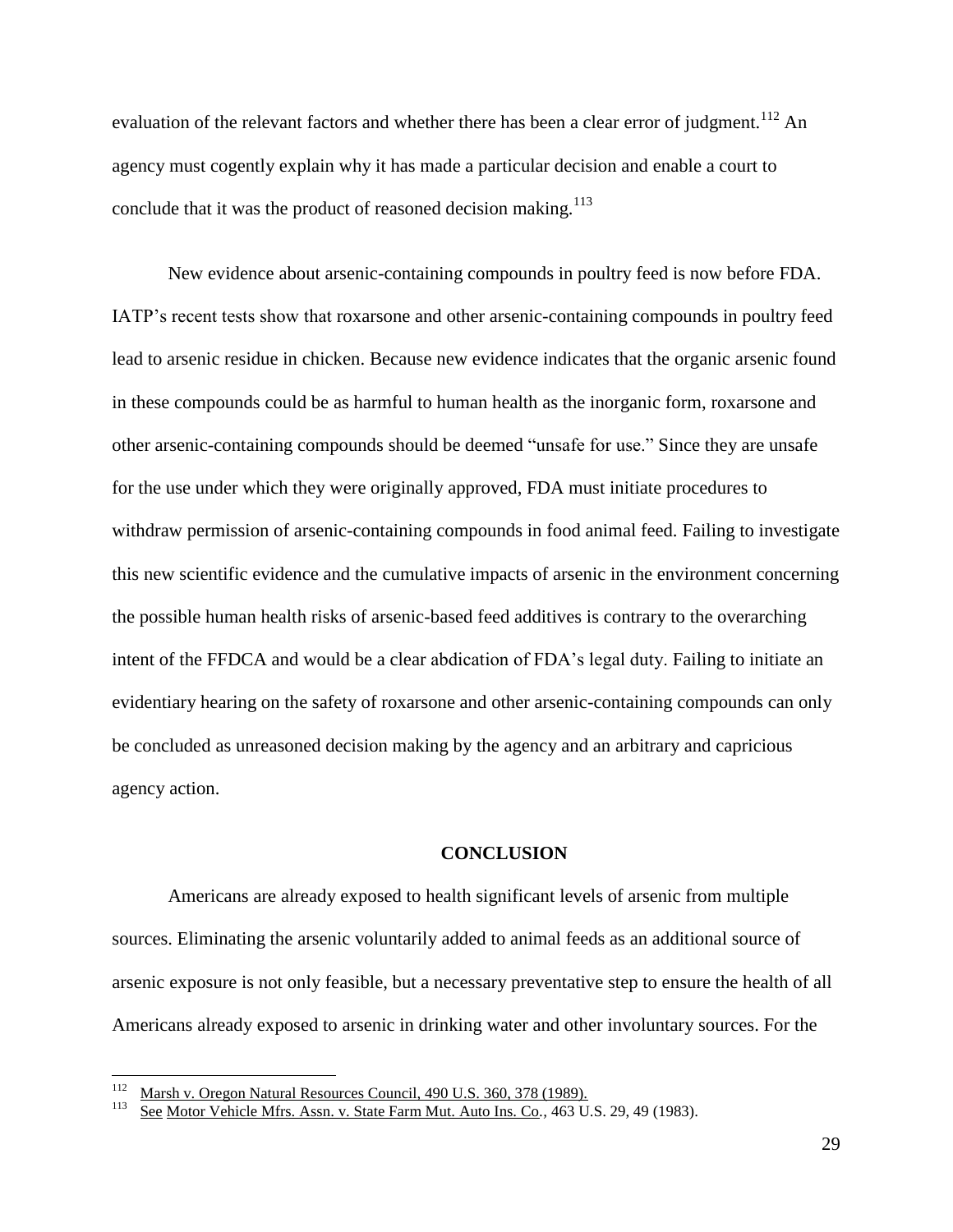evaluation of the relevant factors and whether there has been a clear error of judgment.<sup>112</sup> An agency must cogently explain why it has made a particular decision and enable a court to conclude that it was the product of reasoned decision making. $113$ 

New evidence about arsenic-containing compounds in poultry feed is now before FDA. IATP"s recent tests show that roxarsone and other arsenic-containing compounds in poultry feed lead to arsenic residue in chicken. Because new evidence indicates that the organic arsenic found in these compounds could be as harmful to human health as the inorganic form, roxarsone and other arsenic-containing compounds should be deemed "unsafe for use." Since they are unsafe for the use under which they were originally approved, FDA must initiate procedures to withdraw permission of arsenic-containing compounds in food animal feed. Failing to investigate this new scientific evidence and the cumulative impacts of arsenic in the environment concerning the possible human health risks of arsenic-based feed additives is contrary to the overarching intent of the FFDCA and would be a clear abdication of FDA's legal duty. Failing to initiate an evidentiary hearing on the safety of roxarsone and other arsenic-containing compounds can only be concluded as unreasoned decision making by the agency and an arbitrary and capricious agency action.

#### **CONCLUSION**

Americans are already exposed to health significant levels of arsenic from multiple sources. Eliminating the arsenic voluntarily added to animal feeds as an additional source of arsenic exposure is not only feasible, but a necessary preventative step to ensure the health of all Americans already exposed to arsenic in drinking water and other involuntary sources. For the

<sup>112</sup> <sup>112</sup> Marsh v. Oregon Natural Resources Council, 490 U.S. 360, 378 (1989).<br>
See Motor Vehicle Mfrs. Assn. v. State Farm Mut. Auto Ins. Co., 463 U.

See Motor Vehicle Mfrs. Assn. v. State Farm Mut. Auto Ins. Co., 463 U.S. 29, 49 (1983).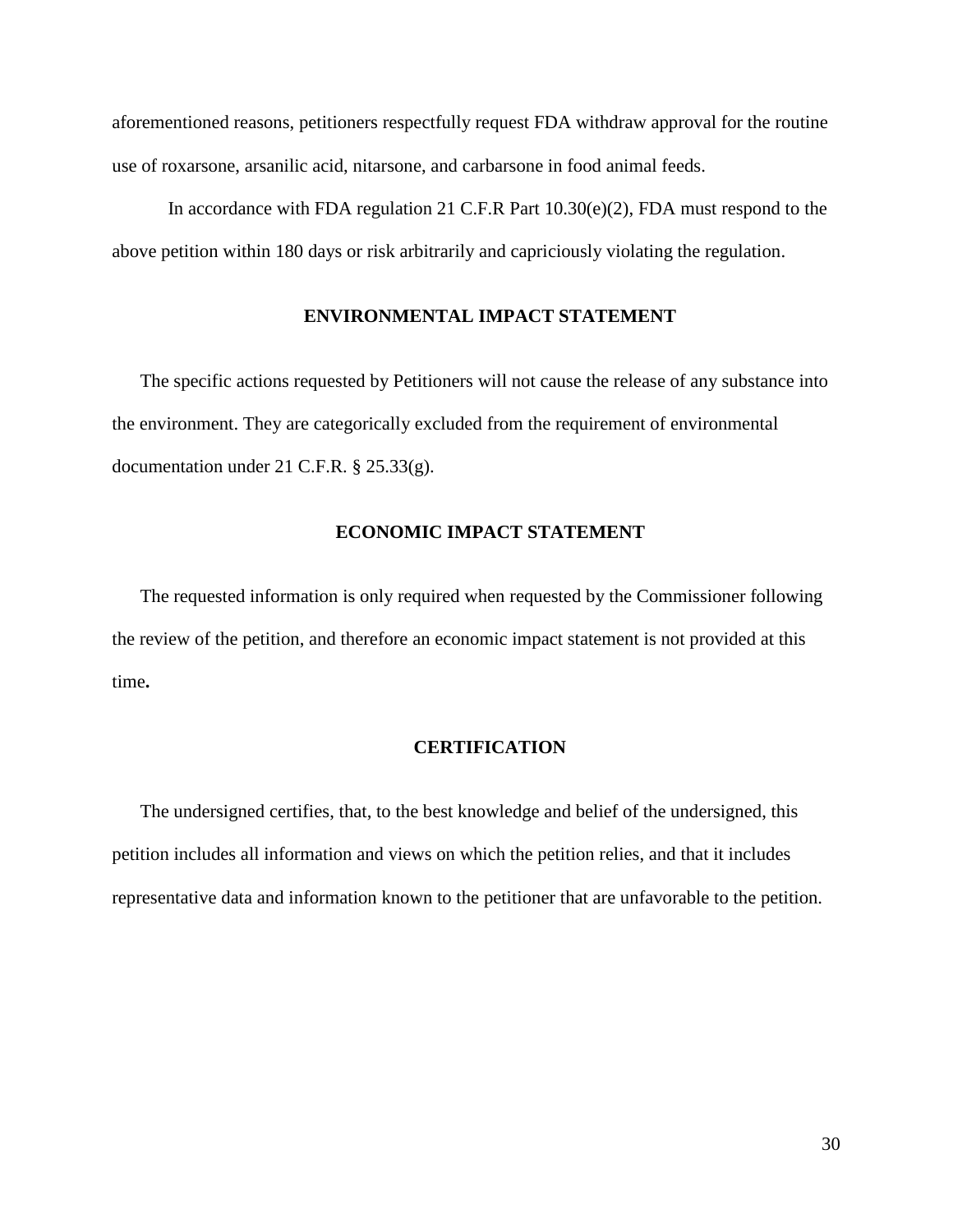aforementioned reasons, petitioners respectfully request FDA withdraw approval for the routine use of roxarsone, arsanilic acid, nitarsone, and carbarsone in food animal feeds.

In accordance with FDA regulation 21 C.F.R Part 10.30(e)(2), FDA must respond to the above petition within 180 days or risk arbitrarily and capriciously violating the regulation.

## **ENVIRONMENTAL IMPACT STATEMENT**

The specific actions requested by Petitioners will not cause the release of any substance into the environment. They are categorically excluded from the requirement of environmental documentation under 21 C.F.R. § 25.33(g).

## **ECONOMIC IMPACT STATEMENT**

The requested information is only required when requested by the Commissioner following the review of the petition, and therefore an economic impact statement is not provided at this time**.**

### **CERTIFICATION**

The undersigned certifies, that, to the best knowledge and belief of the undersigned, this petition includes all information and views on which the petition relies, and that it includes representative data and information known to the petitioner that are unfavorable to the petition.